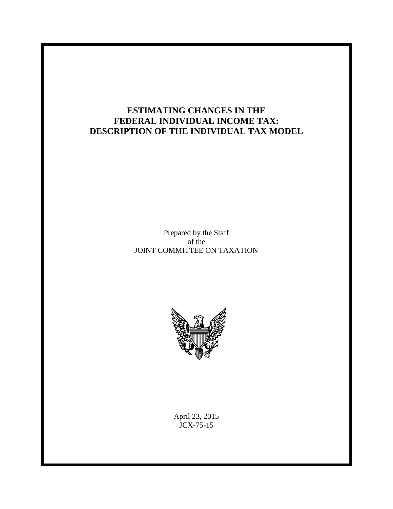# **ESTIMATING CHANGES IN THE FEDERAL INDIVIDUAL INCOME TAX: DESCRIPTION OF THE INDIVIDUAL TAX MODEL**

Prepared by the Staff of the JOINT COMMITTEE ON TAXATION



April 23, 2015 JCX-75-15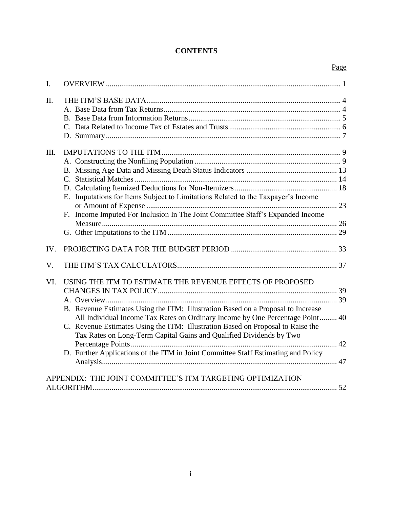# **CONTENTS**

Page

| I.   |                                                                                   |  |
|------|-----------------------------------------------------------------------------------|--|
| Π.   |                                                                                   |  |
|      |                                                                                   |  |
|      |                                                                                   |  |
|      |                                                                                   |  |
|      |                                                                                   |  |
|      |                                                                                   |  |
| III. |                                                                                   |  |
|      |                                                                                   |  |
|      |                                                                                   |  |
|      |                                                                                   |  |
|      |                                                                                   |  |
|      | E. Imputations for Items Subject to Limitations Related to the Taxpayer's Income  |  |
|      |                                                                                   |  |
|      | F. Income Imputed For Inclusion In The Joint Committee Staff's Expanded Income    |  |
|      |                                                                                   |  |
|      |                                                                                   |  |
|      |                                                                                   |  |
| IV.  |                                                                                   |  |
| V.   |                                                                                   |  |
| VI.  | USING THE ITM TO ESTIMATE THE REVENUE EFFECTS OF PROPOSED                         |  |
|      |                                                                                   |  |
|      |                                                                                   |  |
|      | B. Revenue Estimates Using the ITM: Illustration Based on a Proposal to Increase  |  |
|      | All Individual Income Tax Rates on Ordinary Income by One Percentage Point 40     |  |
|      | C. Revenue Estimates Using the ITM: Illustration Based on Proposal to Raise the   |  |
|      | Tax Rates on Long-Term Capital Gains and Qualified Dividends by Two               |  |
|      |                                                                                   |  |
|      | D. Further Applications of the ITM in Joint Committee Staff Estimating and Policy |  |
|      |                                                                                   |  |
|      |                                                                                   |  |
|      | APPENDIX: THE JOINT COMMITTEE'S ITM TARGETING OPTIMIZATION                        |  |
|      |                                                                                   |  |
|      |                                                                                   |  |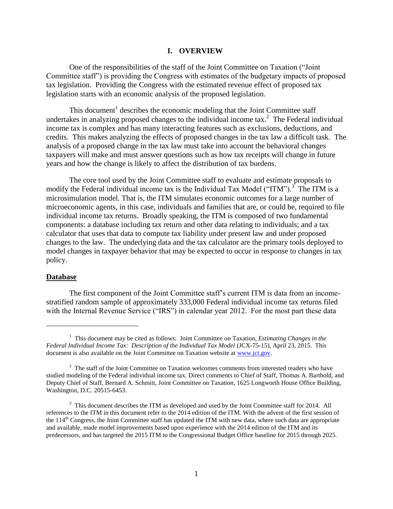#### **I. OVERVIEW**

<span id="page-2-0"></span>One of the responsibilities of the staff of the Joint Committee on Taxation ("Joint Committee staff") is providing the Congress with estimates of the budgetary impacts of proposed tax legislation. Providing the Congress with the estimated revenue effect of proposed tax legislation starts with an economic analysis of the proposed legislation.

This document<sup>1</sup> describes the economic modeling that the Joint Committee staff undertakes in analyzing proposed changes to the individual income tax.<sup>2</sup> The Federal individual income tax is complex and has many interacting features such as exclusions, deductions, and credits. This makes analyzing the effects of proposed changes in the tax law a difficult task. The analysis of a proposed change in the tax law must take into account the behavioral changes taxpayers will make and must answer questions such as how tax receipts will change in future years and how the change is likely to affect the distribution of tax burdens.

The core tool used by the Joint Committee staff to evaluate and estimate proposals to modify the Federal individual income tax is the Individual Tax Model ("ITM").<sup>3</sup> The ITM is a microsimulation model. That is, the ITM simulates economic outcomes for a large number of microeconomic agents, in this case, individuals and families that are, or could be, required to file individual income tax returns. Broadly speaking, the ITM is composed of two fundamental components: a database including tax return and other data relating to individuals; and a tax calculator that uses that data to compute tax liability under present law and under proposed changes to the law. The underlying data and the tax calculator are the primary tools deployed to model changes in taxpayer behavior that may be expected to occur in response to changes in tax policy.

### **Database**

 $\overline{\phantom{a}}$ 

The first component of the Joint Committee staff's current ITM is data from an incomestratified random sample of approximately 333,000 Federal individual income tax returns filed with the Internal Revenue Service ("IRS") in calendar year 2012. For the most part these data

<sup>&</sup>lt;sup>1</sup> This document may be cited as follows: Joint Committee on Taxation, *Estimating Changes in the Federal Individual Income Tax: Description of the Individual Tax Model* (JCX-75-15), April 23, 2015. This document is also available on the Joint Committee on Taxation website at [www.jct.gov.](http://www.jct.gov/) 

 $2<sup>2</sup>$  The staff of the Joint Committee on Taxation welcomes comments from interested readers who have studied modeling of the Federal individual income tax. Direct comments to Chief of Staff, Thomas A. Barthold, and Deputy Chief of Staff, Bernard A. Schmitt, Joint Committee on Taxation, 1625 Longworth House Office Building, Washington, D.C. 20515-6453.

 $3$  This document describes the ITM as developed and used by the Joint Committee staff for 2014. All references to the ITM in this document refer to the 2014 edition of the ITM. With the advent of the first session of the  $114<sup>th</sup>$  Congress, the Joint Committee staff has updated the ITM with new data, where such data are appropriate and available, made model improvements based upon experience with the 2014 edition of the ITM and its predecessors, and has targeted the 2015 ITM to the Congressional Budget Office baseline for 2015 through 2025.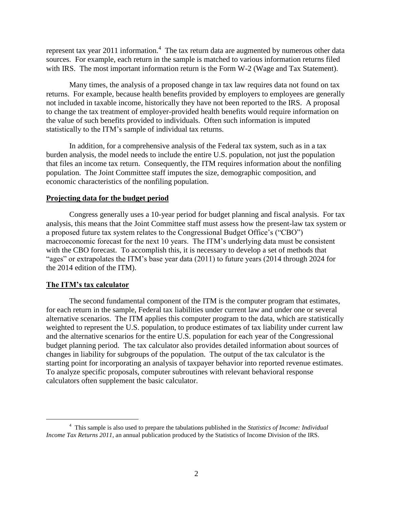represent tax year 2011 information.<sup>4</sup> The tax return data are augmented by numerous other data sources. For example, each return in the sample is matched to various information returns filed with IRS. The most important information return is the Form W-2 (Wage and Tax Statement).

Many times, the analysis of a proposed change in tax law requires data not found on tax returns. For example, because health benefits provided by employers to employees are generally not included in taxable income, historically they have not been reported to the IRS. A proposal to change the tax treatment of employer-provided health benefits would require information on the value of such benefits provided to individuals. Often such information is imputed statistically to the ITM's sample of individual tax returns.

In addition, for a comprehensive analysis of the Federal tax system, such as in a tax burden analysis, the model needs to include the entire U.S. population, not just the population that files an income tax return. Consequently, the ITM requires information about the nonfiling population. The Joint Committee staff imputes the size, demographic composition, and economic characteristics of the nonfiling population.

### **Projecting data for the budget period**

Congress generally uses a 10-year period for budget planning and fiscal analysis. For tax analysis, this means that the Joint Committee staff must assess how the present-law tax system or a proposed future tax system relates to the Congressional Budget Office's ("CBO") macroeconomic forecast for the next 10 years. The ITM's underlying data must be consistent with the CBO forecast. To accomplish this, it is necessary to develop a set of methods that "ages" or extrapolates the ITM's base year data (2011) to future years (2014 through 2024 for the 2014 edition of the ITM).

### **The ITM's tax calculator**

 $\overline{\phantom{a}}$ 

The second fundamental component of the ITM is the computer program that estimates, for each return in the sample, Federal tax liabilities under current law and under one or several alternative scenarios. The ITM applies this computer program to the data, which are statistically weighted to represent the U.S. population, to produce estimates of tax liability under current law and the alternative scenarios for the entire U.S. population for each year of the Congressional budget planning period. The tax calculator also provides detailed information about sources of changes in liability for subgroups of the population. The output of the tax calculator is the starting point for incorporating an analysis of taxpayer behavior into reported revenue estimates. To analyze specific proposals, computer subroutines with relevant behavioral response calculators often supplement the basic calculator.

<sup>4</sup> This sample is also used to prepare the tabulations published in the *Statistics of Income: Individual Income Tax Returns 2011*, an annual publication produced by the Statistics of Income Division of the IRS.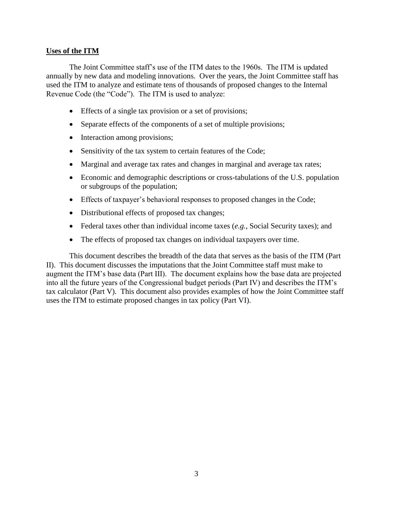## **Uses of the ITM**

The Joint Committee staff's use of the ITM dates to the 1960s. The ITM is updated annually by new data and modeling innovations. Over the years, the Joint Committee staff has used the ITM to analyze and estimate tens of thousands of proposed changes to the Internal Revenue Code (the "Code"). The ITM is used to analyze:

- Effects of a single tax provision or a set of provisions;
- Separate effects of the components of a set of multiple provisions;
- Interaction among provisions;
- Sensitivity of the tax system to certain features of the Code;
- Marginal and average tax rates and changes in marginal and average tax rates;
- Economic and demographic descriptions or cross-tabulations of the U.S. population or subgroups of the population;
- Effects of taxpayer's behavioral responses to proposed changes in the Code;
- Distributional effects of proposed tax changes;
- Federal taxes other than individual income taxes (*e.g.*, Social Security taxes); and
- The effects of proposed tax changes on individual taxpayers over time.

This document describes the breadth of the data that serves as the basis of the ITM (Part II). This document discusses the imputations that the Joint Committee staff must make to augment the ITM's base data (Part III). The document explains how the base data are projected into all the future years of the Congressional budget periods (Part IV) and describes the ITM's tax calculator (Part V). This document also provides examples of how the Joint Committee staff uses the ITM to estimate proposed changes in tax policy (Part VI).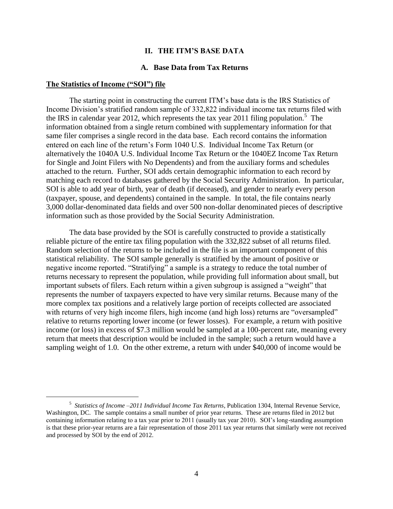### **II. THE ITM'S BASE DATA**

### **A. Base Data from Tax Returns**

#### <span id="page-5-1"></span><span id="page-5-0"></span>**The Statistics of Income ("SOI") file**

 $\overline{\phantom{a}}$ 

The starting point in constructing the current ITM's base data is the IRS Statistics of Income Division's stratified random sample of 332,822 individual income tax returns filed with the IRS in calendar year 2012, which represents the tax year 2011 filing population.<sup>5</sup> The information obtained from a single return combined with supplementary information for that same filer comprises a single record in the data base. Each record contains the information entered on each line of the return's Form 1040 U.S. Individual Income Tax Return (or alternatively the 1040A U.S. Individual Income Tax Return or the 1040EZ Income Tax Return for Single and Joint Filers with No Dependents) and from the auxiliary forms and schedules attached to the return. Further, SOI adds certain demographic information to each record by matching each record to databases gathered by the Social Security Administration. In particular, SOI is able to add year of birth, year of death (if deceased), and gender to nearly every person (taxpayer, spouse, and dependents) contained in the sample. In total, the file contains nearly 3,000 dollar-denominated data fields and over 500 non-dollar denominated pieces of descriptive information such as those provided by the Social Security Administration.

The data base provided by the SOI is carefully constructed to provide a statistically reliable picture of the entire tax filing population with the 332,822 subset of all returns filed. Random selection of the returns to be included in the file is an important component of this statistical reliability. The SOI sample generally is stratified by the amount of positive or negative income reported. "Stratifying" a sample is a strategy to reduce the total number of returns necessary to represent the population, while providing full information about small, but important subsets of filers. Each return within a given subgroup is assigned a "weight" that represents the number of taxpayers expected to have very similar returns. Because many of the more complex tax positions and a relatively large portion of receipts collected are associated with returns of very high income filers, high income (and high loss) returns are "oversampled" relative to returns reporting lower income (or fewer losses). For example, a return with positive income (or loss) in excess of \$7.3 million would be sampled at a 100-percent rate, meaning every return that meets that description would be included in the sample; such a return would have a sampling weight of 1.0. On the other extreme, a return with under \$40,000 of income would be

<sup>5</sup> *Statistics of Income –2011 Individual Income Tax Returns*, Publication 1304, Internal Revenue Service, Washington, DC. The sample contains a small number of prior year returns. These are returns filed in 2012 but containing information relating to a tax year prior to 2011 (usually tax year 2010). SOI's long-standing assumption is that these prior-year returns are a fair representation of those 2011 tax year returns that similarly were not received and processed by SOI by the end of 2012.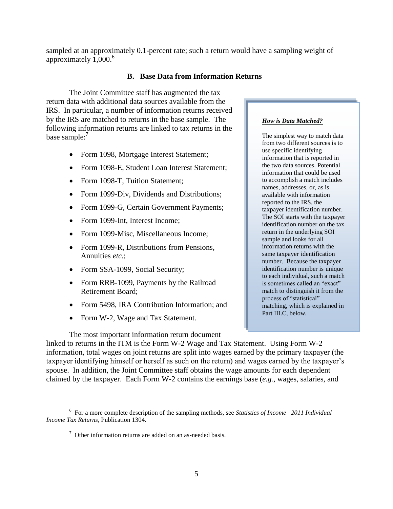sampled at an approximately 0.1-percent rate; such a return would have a sampling weight of approximately  $1,000$ .<sup>6</sup>

## **B. Base Data from Information Returns**

<span id="page-6-0"></span>The Joint Committee staff has augmented the tax return data with additional data sources available from the IRS. In particular, a number of information returns received by the IRS are matched to returns in the base sample. The following information returns are linked to tax returns in the base sample: $<sup>7</sup>$ </sup>

- Form 1098, Mortgage Interest Statement;
- Form 1098-E, Student Loan Interest Statement:
- Form 1098-T, Tuition Statement;
- Form 1099-Div, Dividends and Distributions;
- Form 1099-G, Certain Government Payments;
- Form 1099-Int, Interest Income;
- Form 1099-Misc, Miscellaneous Income;
- Form 1099-R, Distributions from Pensions, Annuities *etc*.;
- Form SSA-1099, Social Security;
- Form RRB-1099, Payments by the Railroad Retirement Board;
- Form 5498, IRA Contribution Information; and
- Form W-2, Wage and Tax Statement.

 $\overline{a}$ 

### The most important information return document

to accomplish a match includes names, addresses, or, as is

available with information reported to the IRS, the taxpayer identification number. The SOI starts with the taxpayer identification number on the tax return in the underlying SOI sample and looks for all information returns with the same taxpayer identification number. Because the taxpayer identification number is unique to each individual, such a match is sometimes called an "exact" match to distinguish it from the process of "statistical" matching, which is explained in Part III.C, below.

linked to returns in the ITM is the Form W-2 Wage and Tax Statement. Using Form W-2 information, total wages on joint returns are split into wages earned by the primary taxpayer (the taxpayer identifying himself or herself as such on the return) and wages earned by the taxpayer's spouse. In addition, the Joint Committee staff obtains the wage amounts for each dependent claimed by the taxpayer. Each Form W-2 contains the earnings base (*e.g.*, wages, salaries, and

## *How is Data Matched?*

use specific identifying information that is reported in the two data sources. Potential information that could be used

The simplest way to match data from two different sources is to

<sup>6</sup> For a more complete description of the sampling methods, see *Statistics of Income –2011 Individual Income Tax Returns*, Publication 1304.

 $7$  Other information returns are added on an as-needed basis.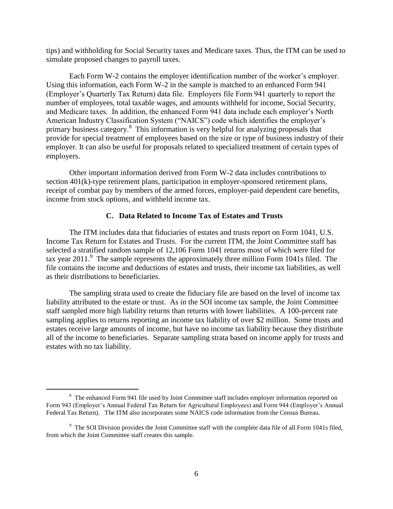tips) and withholding for Social Security taxes and Medicare taxes. Thus, the ITM can be used to simulate proposed changes to payroll taxes.

Each Form W-2 contains the employer identification number of the worker's employer. Using this information, each Form W-2 in the sample is matched to an enhanced Form 941 (Employer's Quarterly Tax Return) data file. Employers file Form 941 quarterly to report the number of employees, total taxable wages, and amounts withheld for income, Social Security, and Medicare taxes. In addition, the enhanced Form 941 data include each employer's North American Industry Classification System ("NAICS") code which identifies the employer's primary business category.<sup>8</sup> This information is very helpful for analyzing proposals that provide for special treatment of employees based on the size or type of business industry of their employer. It can also be useful for proposals related to specialized treatment of certain types of employers.

Other important information derived from Form W-2 data includes contributions to section 401(k)-type retirement plans, participation in employer-sponsored retirement plans, receipt of combat pay by members of the armed forces, employer-paid dependent care benefits, income from stock options, and withheld income tax.

### **C. Data Related to Income Tax of Estates and Trusts**

<span id="page-7-0"></span>The ITM includes data that fiduciaries of estates and trusts report on Form 1041, U.S. Income Tax Return for Estates and Trusts. For the current ITM, the Joint Committee staff has selected a stratified random sample of 12,106 Form 1041 returns most of which were filed for tax year  $2011$ . The sample represents the approximately three million Form 1041s filed. The file contains the income and deductions of estates and trusts, their income tax liabilities, as well as their distributions to beneficiaries.

The sampling strata used to create the fiduciary file are based on the level of income tax liability attributed to the estate or trust. As in the SOI income tax sample, the Joint Committee staff sampled more high liability returns than returns with lower liabilities. A 100-percent rate sampling applies to returns reporting an income tax liability of over \$2 million. Some trusts and estates receive large amounts of income, but have no income tax liability because they distribute all of the income to beneficiaries. Separate sampling strata based on income apply for trusts and estates with no tax liability.

 $\overline{\phantom{a}}$ 

<sup>&</sup>lt;sup>8</sup> The enhanced Form 941 file used by Joint Committee staff includes employer information reported on Form 943 (Employer's Annual Federal Tax Return for Agricultural Employees) and Form 944 (Employer's Annual Federal Tax Return). The ITM also incorporates some NAICS code information from the Census Bureau.

<sup>&</sup>lt;sup>9</sup> The SOI Division provides the Joint Committee staff with the complete data file of all Form 1041s filed, from which the Joint Committee staff creates this sample.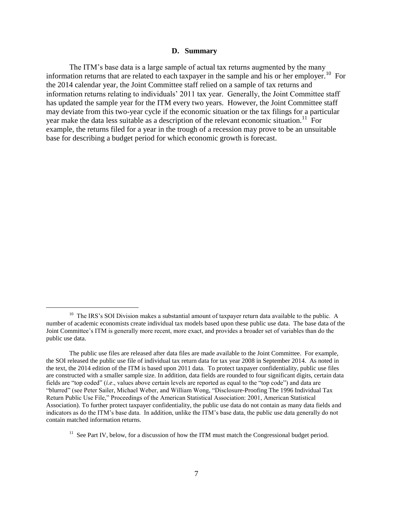#### **D. Summary**

<span id="page-8-0"></span>The ITM's base data is a large sample of actual tax returns augmented by the many information returns that are related to each taxpayer in the sample and his or her employer.<sup>10</sup> For the 2014 calendar year, the Joint Committee staff relied on a sample of tax returns and information returns relating to individuals' 2011 tax year. Generally, the Joint Committee staff has updated the sample year for the ITM every two years. However, the Joint Committee staff may deviate from this two-year cycle if the economic situation or the tax filings for a particular year make the data less suitable as a description of the relevant economic situation.<sup>11</sup> For example, the returns filed for a year in the trough of a recession may prove to be an unsuitable base for describing a budget period for which economic growth is forecast.

 $\overline{a}$ 

 $10$  The IRS's SOI Division makes a substantial amount of taxpayer return data available to the public. A number of academic economists create individual tax models based upon these public use data. The base data of the Joint Committee's ITM is generally more recent, more exact, and provides a broader set of variables than do the public use data.

The public use files are released after data files are made available to the Joint Committee. For example, the SOI released the public use file of individual tax return data for tax year 2008 in September 2014. As noted in the text, the 2014 edition of the ITM is based upon 2011 data. To protect taxpayer confidentiality, public use files are constructed with a smaller sample size. In addition, data fields are rounded to four significant digits, certain data fields are "top coded" (*i.e*., values above certain levels are reported as equal to the "top code") and data are "blurred" (see Peter Sailer, Michael Weber, and William Wong, "Disclosure-Proofing The 1996 Individual Tax Return Public Use File," Proceedings of the American Statistical Association: 2001, American Statistical Association). To further protect taxpayer confidentiality, the public use data do not contain as many data fields and indicators as do the ITM's base data. In addition, unlike the ITM's base data, the public use data generally do not contain matched information returns.

 $11$  See Part IV, below, for a discussion of how the ITM must match the Congressional budget period.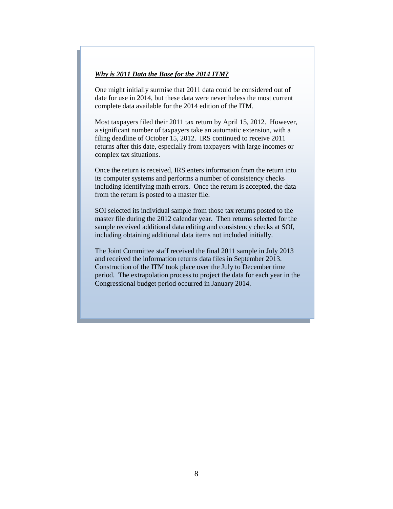#### *Why is 2011 Data the Base for the 2014 ITM?*

One might initially surmise that 2011 data could be considered out of date for use in 2014, but these data were nevertheless the most current complete data available for the 2014 edition of the ITM.

Most taxpayers filed their 2011 tax return by April 15, 2012. However, a significant number of taxpayers take an automatic extension, with a filing deadline of October 15, 2012. IRS continued to receive 2011 returns after this date, especially from taxpayers with large incomes or complex tax situations.

Once the return is received, IRS enters information from the return into its computer systems and performs a number of consistency checks including identifying math errors. Once the return is accepted, the data from the return is posted to a master file.

SOI selected its individual sample from those tax returns posted to the master file during the 2012 calendar year. Then returns selected for the sample received additional data editing and consistency checks at SOI, including obtaining additional data items not included initially.

The Joint Committee staff received the final 2011 sample in July 2013 and received the information returns data files in September 2013. Construction of the ITM took place over the July to December time period. The extrapolation process to project the data for each year in the Congressional budget period occurred in January 2014.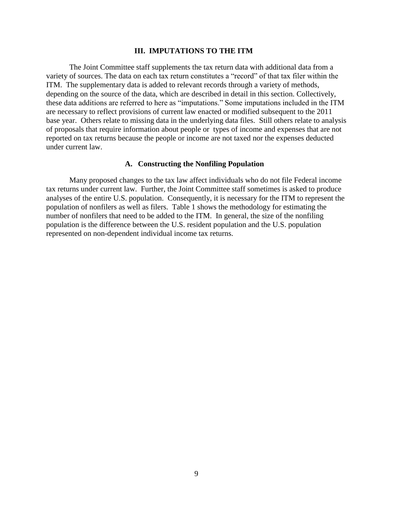### **III. IMPUTATIONS TO THE ITM**

<span id="page-10-0"></span>The Joint Committee staff supplements the tax return data with additional data from a variety of sources. The data on each tax return constitutes a "record" of that tax filer within the ITM. The supplementary data is added to relevant records through a variety of methods, depending on the source of the data, which are described in detail in this section. Collectively, these data additions are referred to here as "imputations." Some imputations included in the ITM are necessary to reflect provisions of current law enacted or modified subsequent to the 2011 base year. Others relate to missing data in the underlying data files. Still others relate to analysis of proposals that require information about people or types of income and expenses that are not reported on tax returns because the people or income are not taxed nor the expenses deducted under current law.

### **A. Constructing the Nonfiling Population**

<span id="page-10-1"></span>Many proposed changes to the tax law affect individuals who do not file Federal income tax returns under current law. Further, the Joint Committee staff sometimes is asked to produce analyses of the entire U.S. population. Consequently, it is necessary for the ITM to represent the population of nonfilers as well as filers. Table 1 shows the methodology for estimating the number of nonfilers that need to be added to the ITM. In general, the size of the nonfiling population is the difference between the U.S. resident population and the U.S. population represented on non-dependent individual income tax returns.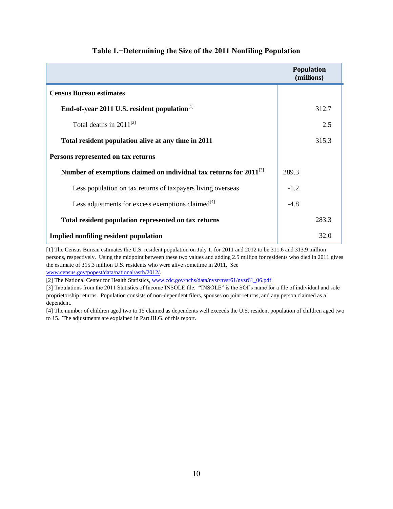|                                                                       | <b>Population</b><br>(millions) |
|-----------------------------------------------------------------------|---------------------------------|
| <b>Census Bureau estimates</b>                                        |                                 |
| End-of-year 2011 U.S. resident population <sup>[1]</sup>              | 312.7                           |
| Total deaths in $2011^{[2]}$                                          | 2.5                             |
| Total resident population alive at any time in 2011                   | 315.3                           |
| Persons represented on tax returns                                    |                                 |
| Number of exemptions claimed on individual tax returns for $2011^{3}$ | 289.3                           |
| Less population on tax returns of taxpayers living overseas           | $-1.2$                          |
| Less adjustments for excess exemptions claimed $^{[4]}$               | $-4.8$                          |
| Total resident population represented on tax returns                  | 283.3                           |
| <b>Implied nonfiling resident population</b>                          | 32.0                            |

## **Table 1.−Determining the Size of the 2011 Nonfiling Population**

[1] The Census Bureau estimates the U.S. resident population on July 1, for 2011 and 2012 to be 311.6 and 313.9 million persons, respectively. Using the midpoint between these two values and adding 2.5 million for residents who died in 2011 gives the estimate of 315.3 million U.S. residents who were alive sometime in 2011. See [www.census.gov/popest/data/national/asrh/2012/.](http://www.census.gov/popest/data/national/asrh/2012/)

[2] The National Center for Health Statistics[, www.cdc.gov/nchs/data/nvsr/nvsr61/nvsr61\\_06.pdf.](http://www.cdc.gov/nchs/data/nvsr/nvsr61/nvsr61_06.pdf)

[3] Tabulations from the 2011 Statistics of Income INSOLE file. "INSOLE" is the SOI's name for a file of individual and sole proprietorship returns. Population consists of non-dependent filers, spouses on joint returns, and any person claimed as a dependent.

[4] The number of children aged two to 15 claimed as dependents well exceeds the U.S. resident population of children aged two to 15. The adjustments are explained in Part III.G. of this report.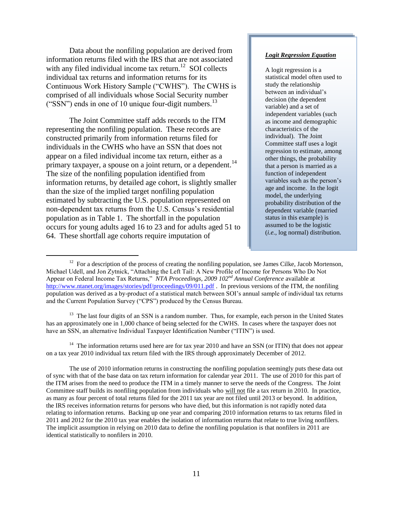Data about the nonfiling population are derived from information returns filed with the IRS that are not associated with any filed individual income tax return.<sup>12</sup> SOI collects individual tax returns and information returns for its Continuous Work History Sample ("CWHS"). The CWHS is comprised of all individuals whose Social Security number ("SSN") ends in one of 10 unique four-digit numbers. $^{13}$ 

The Joint Committee staff adds records to the ITM representing the nonfiling population. These records are constructed primarily from information returns filed for individuals in the CWHS who have an SSN that does not appear on a filed individual income tax return, either as a primary taxpayer, a spouse on a joint return, or a dependent.<sup>14</sup> The size of the nonfiling population identified from information returns, by detailed age cohort, is slightly smaller than the size of the implied target nonfiling population estimated by subtracting the U.S. population represented on non-dependent tax returns from the U.S. Census's residential population as in Table 1. The shortfall in the population occurs for young adults aged 16 to 23 and for adults aged 51 to 64. These shortfall age cohorts require imputation of

 $\overline{a}$ 

#### *Logit Regression Equation*

A logit regression is a statistical model often used to study the relationship between an individual's decision (the dependent variable) and a set of independent variables (such as income and demographic characteristics of the individual). The Joint Committee staff uses a logit regression to estimate, among other things, the probability that a person is married as a function of independent variables such as the person's age and income. In the logit model, the underlying probability distribution of the dependent variable (married status in this example) is assumed to be the logistic (*i.e.*, log normal) distribution.

<sup>13</sup> The last four digits of an SSN is a random number. Thus, for example, each person in the United States has an approximately one in 1,000 chance of being selected for the CWHS. In cases where the taxpayer does not have an SSN, an alternative Individual Taxpayer Identification Number ("ITIN") is used.

<sup>14</sup> The information returns used here are for tax year 2010 and have an SSN (or ITIN) that does not appear on a tax year 2010 individual tax return filed with the IRS through approximately December of 2012.

 $12$  For a description of the process of creating the nonfiling population, see James Cilke, Jacob Mortenson, Michael Udell, and Jon Zytnick, "Attaching the Left Tail: A New Profile of Income for Persons Who Do Not Appear on Federal Income Tax Returns," *NTA Proceedings, 2009 102nd Annual Conference* available at <http://www.ntanet.org/images/stories/pdf/proceedings/09/011.pdf> . In previous versions of the ITM, the nonfiling population was derived as a by-product of a statistical match between SOI's annual sample of individual tax returns and the Current Population Survey ("CPS") produced by the Census Bureau.

The use of 2010 information returns in constructing the nonfiling population seemingly puts these data out of sync with that of the base data on tax return information for calendar year 2011. The use of 2010 for this part of the ITM arises from the need to produce the ITM in a timely manner to serve the needs of the Congress. The Joint Committee staff builds its nonfiling population from individuals who will not file a tax return in 2010. In practice, as many as four percent of total returns filed for the 2011 tax year are not filed until 2013 or beyond. In addition, the IRS receives information returns for persons who have died, but this information is not rapidly noted data relating to information returns. Backing up one year and comparing 2010 information returns to tax returns filed in 2011 and 2012 for the 2010 tax year enables the isolation of information returns that relate to true living nonfilers. The implicit assumption in relying on 2010 data to define the nonfiling population is that nonfilers in 2011 are identical statistically to nonfilers in 2010.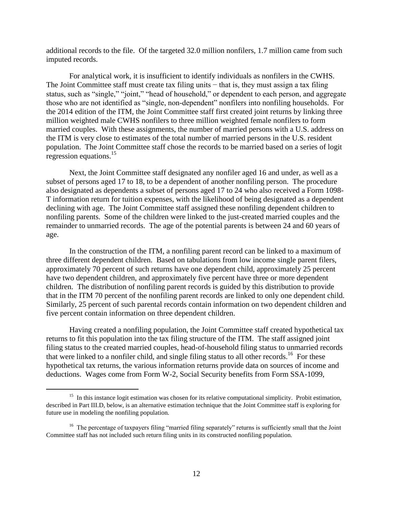additional records to the file. Of the targeted 32.0 million nonfilers, 1.7 million came from such imputed records.

For analytical work, it is insufficient to identify individuals as nonfilers in the CWHS. The Joint Committee staff must create tax filing units – that is, they must assign a tax filing status, such as "single," "joint," "head of household," or dependent to each person, and aggregate those who are not identified as "single, non-dependent" nonfilers into nonfiling households. For the 2014 edition of the ITM, the Joint Committee staff first created joint returns by linking three million weighted male CWHS nonfilers to three million weighted female nonfilers to form married couples. With these assignments, the number of married persons with a U.S. address on the ITM is very close to estimates of the total number of married persons in the U.S. resident population. The Joint Committee staff chose the records to be married based on a series of logit regression equations.<sup>15</sup>

Next, the Joint Committee staff designated any nonfiler aged 16 and under, as well as a subset of persons aged 17 to 18, to be a dependent of another nonfiling person. The procedure also designated as dependents a subset of persons aged 17 to 24 who also received a Form 1098- T information return for tuition expenses, with the likelihood of being designated as a dependent declining with age. The Joint Committee staff assigned these nonfiling dependent children to nonfiling parents. Some of the children were linked to the just-created married couples and the remainder to unmarried records. The age of the potential parents is between 24 and 60 years of age.

In the construction of the ITM, a nonfiling parent record can be linked to a maximum of three different dependent children. Based on tabulations from low income single parent filers, approximately 70 percent of such returns have one dependent child, approximately 25 percent have two dependent children, and approximately five percent have three or more dependent children. The distribution of nonfiling parent records is guided by this distribution to provide that in the ITM 70 percent of the nonfiling parent records are linked to only one dependent child. Similarly, 25 percent of such parental records contain information on two dependent children and five percent contain information on three dependent children.

Having created a nonfiling population, the Joint Committee staff created hypothetical tax returns to fit this population into the tax filing structure of the ITM. The staff assigned joint filing status to the created married couples, head-of-household filing status to unmarried records that were linked to a nonfiler child, and single filing status to all other records.<sup>16</sup> For these hypothetical tax returns, the various information returns provide data on sources of income and deductions. Wages come from Form W-2, Social Security benefits from Form SSA-1099,

 $\overline{\phantom{a}}$ 

<sup>&</sup>lt;sup>15</sup> In this instance logit estimation was chosen for its relative computational simplicity. Probit estimation, described in Part III.D, below, is an alternative estimation technique that the Joint Committee staff is exploring for future use in modeling the nonfiling population.

<sup>&</sup>lt;sup>16</sup> The percentage of taxpayers filing "married filing separately" returns is sufficiently small that the Joint Committee staff has not included such return filing units in its constructed nonfiling population.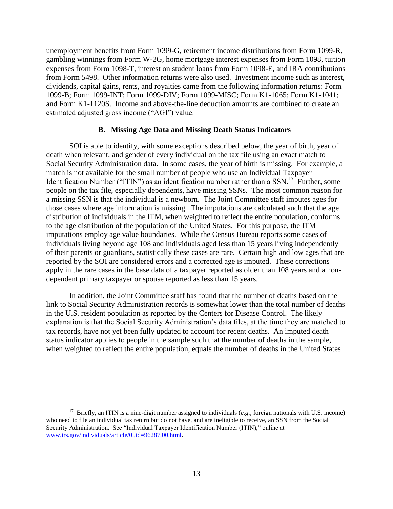unemployment benefits from Form 1099-G, retirement income distributions from Form 1099-R, gambling winnings from Form W-2G, home mortgage interest expenses from Form 1098, tuition expenses from Form 1098-T, interest on student loans from Form 1098-E, and IRA contributions from Form 5498. Other information returns were also used. Investment income such as interest, dividends, capital gains, rents, and royalties came from the following information returns: Form 1099-B; Form 1099-INT; Form 1099-DIV; Form 1099-MISC; Form K1-1065; Form K1-1041; and Form K1-1120S. Income and above-the-line deduction amounts are combined to create an estimated adjusted gross income ("AGI") value.

### **B. Missing Age Data and Missing Death Status Indicators**

<span id="page-14-0"></span>SOI is able to identify, with some exceptions described below, the year of birth, year of death when relevant, and gender of every individual on the tax file using an exact match to Social Security Administration data. In some cases, the year of birth is missing. For example, a match is not available for the small number of people who use an Individual Taxpayer Identification Number ("ITIN") as an identification number rather than a SSN.<sup>17</sup> Further, some people on the tax file, especially dependents, have missing SSNs. The most common reason for a missing SSN is that the individual is a newborn. The Joint Committee staff imputes ages for those cases where age information is missing. The imputations are calculated such that the age distribution of individuals in the ITM, when weighted to reflect the entire population, conforms to the age distribution of the population of the United States. For this purpose, the ITM imputations employ age value boundaries. While the Census Bureau reports some cases of individuals living beyond age 108 and individuals aged less than 15 years living independently of their parents or guardians, statistically these cases are rare. Certain high and low ages that are reported by the SOI are considered errors and a corrected age is imputed. These corrections apply in the rare cases in the base data of a taxpayer reported as older than 108 years and a nondependent primary taxpayer or spouse reported as less than 15 years.

In addition, the Joint Committee staff has found that the number of deaths based on the link to Social Security Administration records is somewhat lower than the total number of deaths in the U.S. resident population as reported by the Centers for Disease Control. The likely explanation is that the Social Security Administration's data files, at the time they are matched to tax records, have not yet been fully updated to account for recent deaths. An imputed death status indicator applies to people in the sample such that the number of deaths in the sample, when weighted to reflect the entire population, equals the number of deaths in the United States

 $\overline{\phantom{a}}$ 

<sup>&</sup>lt;sup>17</sup> Briefly, an ITIN is a nine-digit number assigned to individuals ( $e.g.,$  foreign nationals with U.S. income) who need to file an individual tax return but do not have, and are ineligible to receive, an SSN from the Social Security Administration. See "Individual Taxpayer Identification Number (ITIN)," online at [www.irs.gov/individuals/article/0,,id=96287,00.html.](http://www.irs.gov/individuals/article/0,,id=96287,00.html)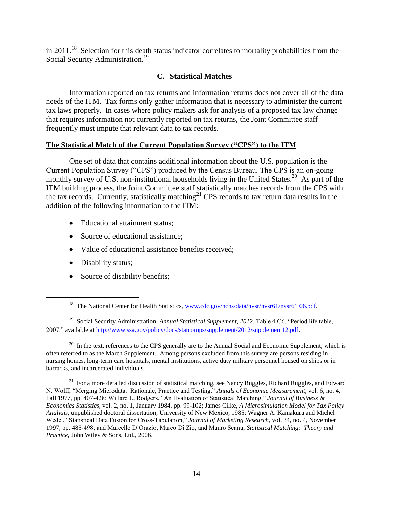in 2011.<sup>18</sup> Selection for this death status indicator correlates to mortality probabilities from the Social Security Administration.<sup>19</sup>

## **C. Statistical Matches**

<span id="page-15-0"></span>Information reported on tax returns and information returns does not cover all of the data needs of the ITM. Tax forms only gather information that is necessary to administer the current tax laws properly. In cases where policy makers ask for analysis of a proposed tax law change that requires information not currently reported on tax returns, the Joint Committee staff frequently must impute that relevant data to tax records.

## **The Statistical Match of the Current Population Survey ("CPS") to the ITM**

One set of data that contains additional information about the U.S. population is the Current Population Survey ("CPS") produced by the Census Bureau. The CPS is an on-going monthly survey of U.S. non-institutional households living in the United States.<sup>20</sup> As part of the ITM building process, the Joint Committee staff statistically matches records from the CPS with the tax records. Currently, statistically matching<sup>21</sup> CPS records to tax return data results in the addition of the following information to the ITM:

- Educational attainment status;
- Source of educational assistance:
- Value of educational assistance benefits received;
- Disability status;

 $\overline{\phantom{a}}$ 

• Source of disability benefits;

 $20$  In the text, references to the CPS generally are to the Annual Social and Economic Supplement, which is often referred to as the March Supplement. Among persons excluded from this survey are persons residing in nursing homes, long-term care hospitals, mental institutions, active duty military personnel housed on ships or in barracks, and incarcerated individuals.

<sup>21</sup> For a more detailed discussion of statistical matching, see Nancy Ruggles, Richard Ruggles, and Edward N. Wolff, "Merging Microdata: Rationale, Practice and Testing," *Annals of Economic Measurement*, vol. 6, no. 4, Fall 1977, pp. 407-428; Willard L. Rodgers, "An Evaluation of Statistical Matching," *Journal of Business & Economics Statistics*, vol. 2, no. 1, January 1984, pp. 99-102; James Cilke, *A Microsimulation Model for Tax Policy Analysis*, unpublished doctoral dissertation, University of New Mexico, 1985; Wagner A. Kamakura and Michel Wedel, "Statistical Data Fusion for Cross-Tabulation," *Journal of Marketing Research*, vol. 34, no. 4, November 1997, pp. 485-498; and Marcello D'Orazio, Marco Di Zio, and Mauro Scanu, *Statistical Matching: Theory and Practice,* John Wiley & Sons, Ltd., 2006.

<sup>&</sup>lt;sup>18</sup> The National Center for Health Statistics, [www.cdc.gov/nchs/data/nvsr/nvsr61/nvsr61 06.pdf.](http://www.cdc.gov/nchs/data/nvsr/nvsr61/nvsr61%2006.pdf)

<sup>&</sup>lt;sup>19</sup> Social Security Administration, *Annual Statistical Supplement*, 2012, Table 4.C6, "Period life table, 2007," available a[t http://www.ssa.gov/policy/docs/statcomps/supplement/2012/supplement12.pdf.](http://www.ssa.gov/policy/docs/statcomps/supplement/2012/supplement12.pdf)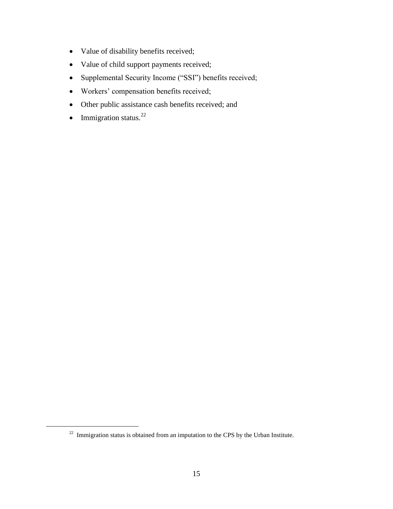- Value of disability benefits received;
- Value of child support payments received;
- Supplemental Security Income ("SSI") benefits received;
- Workers' compensation benefits received;
- Other public assistance cash benefits received; and
- Immigration status. $^{22}$

l

 $22$  Immigration status is obtained from an imputation to the CPS by the Urban Institute.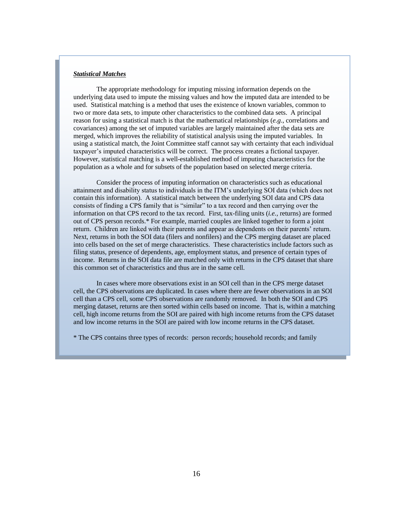### *Statistical Matches*

respectively.

The appropriate methodology for imputing missing information depends on the underlying data used to impute the missing values and how the imputed data are intended to be used. Statistical matching is a method that uses the existence of known variables, common to two or more data sets, to impute other characteristics to the combined data sets. A principal reason for using a statistical match is that the mathematical relationships (*e.g*., correlations and covariances) among the set of imputed variables are largely maintained after the data sets are merged, which improves the reliability of statistical analysis using the imputed variables. In using a statistical match, the Joint Committee staff cannot say with certainty that each individual taxpayer's imputed characteristics will be correct. The process creates a fictional taxpayer. However, statistical matching is a well-established method of imputing characteristics for the population as a whole and for subsets of the population based on selected merge criteria.

Consider the process of imputing information on characteristics such as educational attainment and disability status to individuals in the ITM's underlying SOI data (which does not contain this information). A statistical match between the underlying SOI data and CPS data consists of finding a CPS family that is "similar" to a tax record and then carrying over the information on that CPS record to the tax record. First, tax-filing units (*i.e.,* returns) are formed out of CPS person records.\* For example, married couples are linked together to form a joint return. Children are linked with their parents and appear as dependents on their parents' return. Next, returns in both the SOI data (filers and nonfilers) and the CPS merging dataset are placed into cells based on the set of merge characteristics. These characteristics include factors such as filing status, presence of dependents, age, employment status, and presence of certain types of income. Returns in the SOI data file are matched only with returns in the CPS dataset that share this common set of characteristics and thus are in the same cell.

In cases where more observations exist in an SOI cell than in the CPS merge dataset cell, the CPS observations are duplicated. In cases where there are fewer observations in an SOI cell than a CPS cell, some CPS observations are randomly removed. In both the SOI and CPS merging dataset, returns are then sorted within cells based on income. That is, within a matching cell, high income returns from the SOI are paired with high income returns from the CPS dataset and low income returns in the SOI are paired with low income returns in the CPS dataset.

\* The CPS contains three types of records: person records; household records; and family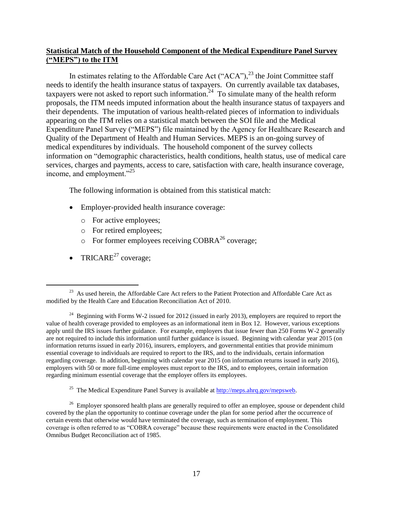## **Statistical Match of the Household Component of the Medical Expenditure Panel Survey ("MEPS") to the ITM**

In estimates relating to the Affordable Care Act ("ACA"), $^{23}$  the Joint Committee staff needs to identify the health insurance status of taxpayers. On currently available tax databases, taxpayers were not asked to report such information.<sup>24</sup> To simulate many of the health reform proposals, the ITM needs imputed information about the health insurance status of taxpayers and their dependents. The imputation of various health-related pieces of information to individuals appearing on the ITM relies on a statistical match between the SOI file and the Medical Expenditure Panel Survey ("MEPS") file maintained by the Agency for Healthcare Research and Quality of the Department of Health and Human Services. MEPS is an on-going survey of medical expenditures by individuals. The household component of the survey collects information on "demographic characteristics, health conditions, health status, use of medical care services, charges and payments, access to care, satisfaction with care, health insurance coverage, income, and employment."<sup>25</sup>

The following information is obtained from this statistical match:

- Employer-provided health insurance coverage:
	- o For active employees;
	- o For retired employees;
	- $\circ$  For former employees receiving COBRA<sup>26</sup> coverage;
- TRICARE<sup>27</sup> coverage;

 $\overline{\phantom{a}}$ 

<sup>&</sup>lt;sup>23</sup> As used herein, the Affordable Care Act refers to the Patient Protection and Affordable Care Act as modified by the Health Care and Education Reconciliation Act of 2010.

<sup>&</sup>lt;sup>24</sup> Beginning with Forms W-2 issued for 2012 (issued in early 2013), employers are required to report the value of health coverage provided to employees as an informational item in Box 12. However, various exceptions apply until the IRS issues further guidance. For example, employers that issue fewer than 250 Forms W-2 generally are not required to include this information until further guidance is issued. Beginning with calendar year 2015 (on information returns issued in early 2016), insurers, employers, and governmental entities that provide minimum essential coverage to individuals are required to report to the IRS, and to the individuals, certain information regarding coverage. In addition, beginning with calendar year 2015 (on information returns issued in early 2016), employers with 50 or more full-time employees must report to the IRS, and to employees, certain information regarding minimum essential coverage that the employer offers its employees.

<sup>&</sup>lt;sup>25</sup> The Medical Expenditure Panel Survey is available at  $\frac{http://meps.ahrq.gov/mepsweb.}{}$ 

<sup>&</sup>lt;sup>26</sup> Employer sponsored health plans are generally required to offer an employee, spouse or dependent child covered by the plan the opportunity to continue coverage under the plan for some period after the occurrence of certain events that otherwise would have terminated the coverage, such as termination of employment. This coverage is often referred to as "COBRA coverage" because these requirements were enacted in the Consolidated Omnibus Budget Reconciliation act of 1985.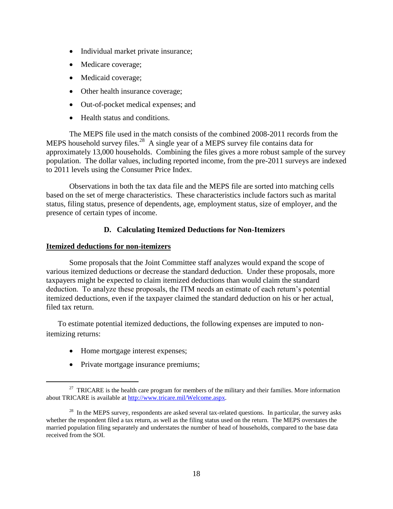- Individual market private insurance;
- Medicare coverage;
- Medicaid coverage;
- Other health insurance coverage;
- Out-of-pocket medical expenses; and
- Health status and conditions.

The MEPS file used in the match consists of the combined 2008-2011 records from the MEPS household survey files.<sup>28</sup> A single year of a MEPS survey file contains data for approximately 13,000 households. Combining the files gives a more robust sample of the survey population. The dollar values, including reported income, from the pre-2011 surveys are indexed to 2011 levels using the Consumer Price Index.

Observations in both the tax data file and the MEPS file are sorted into matching cells based on the set of merge characteristics. These characteristics include factors such as marital status, filing status, presence of dependents, age, employment status, size of employer, and the presence of certain types of income.

## **D. Calculating Itemized Deductions for Non-Itemizers**

### <span id="page-19-0"></span>**Itemized deductions for non-itemizers**

Some proposals that the Joint Committee staff analyzes would expand the scope of various itemized deductions or decrease the standard deduction. Under these proposals, more taxpayers might be expected to claim itemized deductions than would claim the standard deduction. To analyze these proposals, the ITM needs an estimate of each return's potential itemized deductions, even if the taxpayer claimed the standard deduction on his or her actual, filed tax return.

To estimate potential itemized deductions, the following expenses are imputed to nonitemizing returns:

Home mortgage interest expenses;

 $\overline{\phantom{a}}$ 

• Private mortgage insurance premiums;

<sup>&</sup>lt;sup>27</sup> TRICARE is the health care program for members of the military and their families. More information about TRICARE is available at [http://www.tricare.mil/Welcome.aspx.](http://www.tricare.mil/Welcome.aspx)

 $2<sup>28</sup>$  In the MEPS survey, respondents are asked several tax-related questions. In particular, the survey asks whether the respondent filed a tax return, as well as the filing status used on the return. The MEPS overstates the married population filing separately and understates the number of head of households, compared to the base data received from the SOI.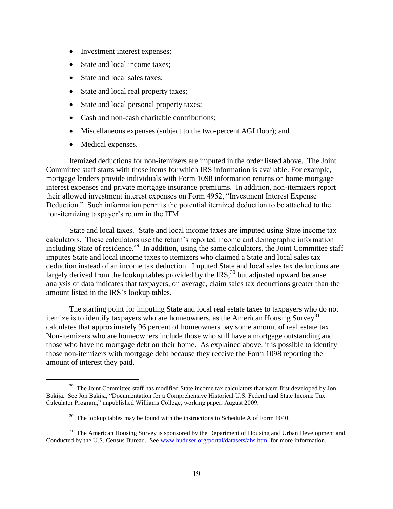- Investment interest expenses;
- State and local income taxes:
- State and local sales taxes;
- State and local real property taxes;
- State and local personal property taxes;
- Cash and non-cash charitable contributions:
- Miscellaneous expenses (subject to the two-percent AGI floor); and
- Medical expenses.

l

Itemized deductions for non-itemizers are imputed in the order listed above. The Joint Committee staff starts with those items for which IRS information is available. For example, mortgage lenders provide individuals with Form 1098 information returns on home mortgage interest expenses and private mortgage insurance premiums. In addition, non-itemizers report their allowed investment interest expenses on Form 4952, "Investment Interest Expense Deduction." Such information permits the potential itemized deduction to be attached to the non-itemizing taxpayer's return in the ITM.

State and local taxes.−State and local income taxes are imputed using State income tax calculators. These calculators use the return's reported income and demographic information including State of residence.<sup>29</sup> In addition, using the same calculators, the Joint Committee staff imputes State and local income taxes to itemizers who claimed a State and local sales tax deduction instead of an income tax deduction. Imputed State and local sales tax deductions are largely derived from the lookup tables provided by the IRS, $30$  but adjusted upward because analysis of data indicates that taxpayers, on average, claim sales tax deductions greater than the amount listed in the IRS's lookup tables.

The starting point for imputing State and local real estate taxes to taxpayers who do not itemize is to identify taxpayers who are homeowners, as the American Housing Survey<sup>31</sup> calculates that approximately 96 percent of homeowners pay some amount of real estate tax. Non-itemizers who are homeowners include those who still have a mortgage outstanding and those who have no mortgage debt on their home. As explained above, it is possible to identify those non-itemizers with mortgage debt because they receive the Form 1098 reporting the amount of interest they paid.

 $29$  The Joint Committee staff has modified State income tax calculators that were first developed by Jon Bakija. See Jon Bakija, "Documentation for a Comprehensive Historical U.S. Federal and State Income Tax Calculator Program," unpublished Williams College, working paper, August 2009.

 $30$  The lookup tables may be found with the instructions to Schedule A of Form 1040.

<sup>&</sup>lt;sup>31</sup> The American Housing Survey is sponsored by the Department of Housing and Urban Development and Conducted by the U.S. Census Bureau. See [www.huduser.org/portal/datasets/ahs.html](http://www.huduser.org/portal/datasets/ahs.html) for more information.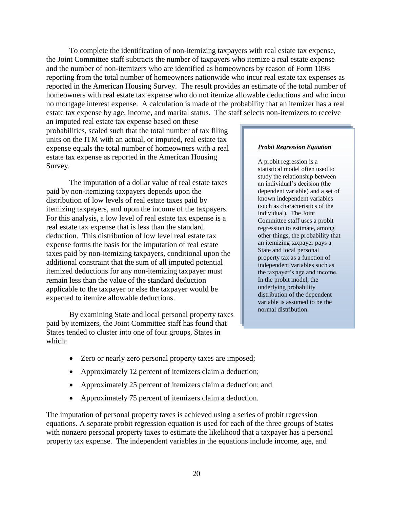To complete the identification of non-itemizing taxpayers with real estate tax expense, the Joint Committee staff subtracts the number of taxpayers who itemize a real estate expense and the number of non-itemizers who are identified as homeowners by reason of Form 1098 reporting from the total number of homeowners nationwide who incur real estate tax expenses as reported in the American Housing Survey. The result provides an estimate of the total number of homeowners with real estate tax expense who do not itemize allowable deductions and who incur no mortgage interest expense. A calculation is made of the probability that an itemizer has a real estate tax expense by age, income, and marital status. The staff selects non-itemizers to receive

an imputed real estate tax expense based on these probabilities, scaled such that the total number of tax filing units on the ITM with an actual, or imputed, real estate tax expense equals the total number of homeowners with a real estate tax expense as reported in the American Housing Survey.

The imputation of a dollar value of real estate taxes paid by non-itemizing taxpayers depends upon the distribution of low levels of real estate taxes paid by itemizing taxpayers, and upon the income of the taxpayers. For this analysis, a low level of real estate tax expense is a real estate tax expense that is less than the standard deduction. This distribution of low level real estate tax expense forms the basis for the imputation of real estate taxes paid by non-itemizing taxpayers, conditional upon the additional constraint that the sum of all imputed potential itemized deductions for any non-itemizing taxpayer must remain less than the value of the standard deduction applicable to the taxpayer or else the taxpayer would be expected to itemize allowable deductions.

By examining State and local personal property taxes paid by itemizers, the Joint Committee staff has found that States tended to cluster into one of four groups, States in which:

#### *Probit Regression Equation*

A probit regression is a statistical model often used to study the relationship between an individual's decision (the dependent variable) and a set of known independent variables (such as characteristics of the individual). The Joint Committee staff uses a probit regression to estimate, among other things, the probability that an itemizing taxpayer pays a State and local personal property tax as a function of independent variables such as the taxpayer's age and income. In the probit model, the underlying probability distribution of the dependent variable is assumed to be the normal distribution.

- Zero or nearly zero personal property taxes are imposed;
- Approximately 12 percent of itemizers claim a deduction;
- Approximately 25 percent of itemizers claim a deduction; and
- Approximately 75 percent of itemizers claim a deduction.

The imputation of personal property taxes is achieved using a series of probit regression equations. A separate probit regression equation is used for each of the three groups of States with nonzero personal property taxes to estimate the likelihood that a taxpayer has a personal property tax expense. The independent variables in the equations include income, age, and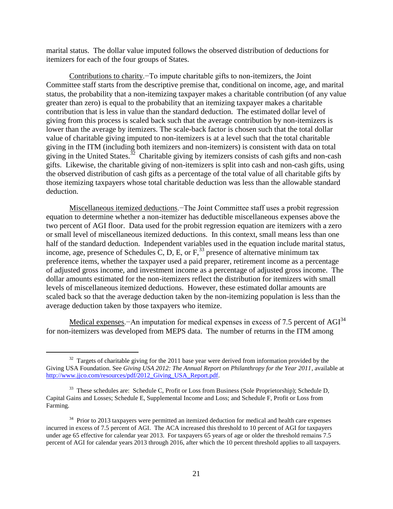marital status. The dollar value imputed follows the observed distribution of deductions for itemizers for each of the four groups of States.

Contributions to charity.−To impute charitable gifts to non-itemizers, the Joint Committee staff starts from the descriptive premise that, conditional on income, age, and marital status, the probability that a non-itemizing taxpayer makes a charitable contribution (of any value greater than zero) is equal to the probability that an itemizing taxpayer makes a charitable contribution that is less in value than the standard deduction. The estimated dollar level of giving from this process is scaled back such that the average contribution by non-itemizers is lower than the average by itemizers. The scale-back factor is chosen such that the total dollar value of charitable giving imputed to non-itemizers is at a level such that the total charitable giving in the ITM (including both itemizers and non-itemizers) is consistent with data on total giving in the United States.<sup>32</sup> Charitable giving by itemizers consists of cash gifts and non-cash gifts. Likewise, the charitable giving of non-itemizers is split into cash and non-cash gifts, using the observed distribution of cash gifts as a percentage of the total value of all charitable gifts by those itemizing taxpayers whose total charitable deduction was less than the allowable standard deduction.

Miscellaneous itemized deductions.−The Joint Committee staff uses a probit regression equation to determine whether a non-itemizer has deductible miscellaneous expenses above the two percent of AGI floor. Data used for the probit regression equation are itemizers with a zero or small level of miscellaneous itemized deductions. In this context, small means less than one half of the standard deduction. Independent variables used in the equation include marital status, income, age, presence of Schedules C, D, E, or  $F<sub>1</sub><sup>33</sup>$  presence of alternative minimum tax preference items, whether the taxpayer used a paid preparer, retirement income as a percentage of adjusted gross income, and investment income as a percentage of adjusted gross income. The dollar amounts estimated for the non-itemizers reflect the distribution for itemizers with small levels of miscellaneous itemized deductions. However, these estimated dollar amounts are scaled back so that the average deduction taken by the non-itemizing population is less than the average deduction taken by those taxpayers who itemize.

Medical expenses.−An imputation for medical expenses in excess of 7.5 percent of AGI<sup>34</sup> for non-itemizers was developed from MEPS data. The number of returns in the ITM among

l

 $32$  Targets of charitable giving for the 2011 base year were derived from information provided by the Giving USA Foundation. See *Giving USA 2012: The Annual Report on Philanthropy for the Year 2011*, available at http://www.jjco.com/resources/pdf/2012 Giving USA Report.pdf.

<sup>&</sup>lt;sup>33</sup> These schedules are: Schedule C, Profit or Loss from Business (Sole Proprietorship); Schedule D, Capital Gains and Losses; Schedule E, Supplemental Income and Loss; and Schedule F, Profit or Loss from Farming.

<sup>&</sup>lt;sup>34</sup> Prior to 2013 taxpayers were permitted an itemized deduction for medical and health care expenses incurred in excess of 7.5 percent of AGI. The ACA increased this threshold to 10 percent of AGI for taxpayers under age 65 effective for calendar year 2013. For taxpayers 65 years of age or older the threshold remains 7.5 percent of AGI for calendar years 2013 through 2016, after which the 10 percent threshold applies to all taxpayers.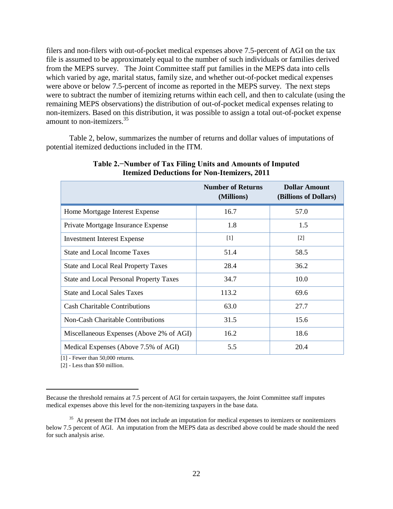filers and non-filers with out-of-pocket medical expenses above 7.5-percent of AGI on the tax file is assumed to be approximately equal to the number of such individuals or families derived from the MEPS survey. The Joint Committee staff put families in the MEPS data into cells which varied by age, marital status, family size, and whether out-of-pocket medical expenses were above or below 7.5-percent of income as reported in the MEPS survey. The next steps were to subtract the number of itemizing returns within each cell, and then to calculate (using the remaining MEPS observations) the distribution of out-of-pocket medical expenses relating to non-itemizers. Based on this distribution, it was possible to assign a total out-of-pocket expense amount to non-itemizers.<sup>35</sup>

Table 2, below, summarizes the number of returns and dollar values of imputations of potential itemized deductions included in the ITM.

|                                                | <b>Number of Returns</b><br>(Millions) | <b>Dollar Amount</b><br>(Billions of Dollars) |
|------------------------------------------------|----------------------------------------|-----------------------------------------------|
| Home Mortgage Interest Expense                 | 16.7                                   | 57.0                                          |
| Private Mortgage Insurance Expense             | 1.8                                    | 1.5                                           |
| <b>Investment Interest Expense</b>             | $\lceil 1 \rceil$                      | $\lceil 2 \rceil$                             |
| State and Local Income Taxes                   | 51.4                                   | 58.5                                          |
| <b>State and Local Real Property Taxes</b>     | 28.4                                   | 36.2                                          |
| <b>State and Local Personal Property Taxes</b> | 34.7                                   | 10.0                                          |
| <b>State and Local Sales Taxes</b>             | 113.2                                  | 69.6                                          |
| <b>Cash Charitable Contributions</b>           | 63.0                                   | 27.7                                          |
| <b>Non-Cash Charitable Contributions</b>       | 31.5                                   | 15.6                                          |
| Miscellaneous Expenses (Above 2% of AGI)       | 16.2                                   | 18.6                                          |
| Medical Expenses (Above 7.5% of AGI)           | 5.5                                    | 20.4                                          |

### **Table 2.−Number of Tax Filing Units and Amounts of Imputed Itemized Deductions for Non-Itemizers, 2011**

[1] - Fewer than 50,000 returns.

[2] - Less than \$50 million.

 $\overline{\phantom{a}}$ 

Because the threshold remains at 7.5 percent of AGI for certain taxpayers, the Joint Committee staff imputes medical expenses above this level for the non-itemizing taxpayers in the base data.

<sup>&</sup>lt;sup>35</sup> At present the ITM does not include an imputation for medical expenses to itemizers or nonitemizers below 7.5 percent of AGI. An imputation from the MEPS data as described above could be made should the need for such analysis arise.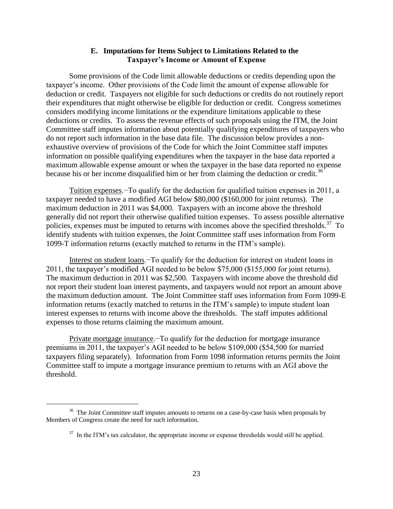### **E. Imputations for Items Subject to Limitations Related to the Taxpayer's Income or Amount of Expense**

<span id="page-24-0"></span>Some provisions of the Code limit allowable deductions or credits depending upon the taxpayer's income. Other provisions of the Code limit the amount of expense allowable for deduction or credit. Taxpayers not eligible for such deductions or credits do not routinely report their expenditures that might otherwise be eligible for deduction or credit. Congress sometimes considers modifying income limitations or the expenditure limitations applicable to these deductions or credits. To assess the revenue effects of such proposals using the ITM, the Joint Committee staff imputes information about potentially qualifying expenditures of taxpayers who do not report such information in the base data file. The discussion below provides a nonexhaustive overview of provisions of the Code for which the Joint Committee staff imputes information on possible qualifying expenditures when the taxpayer in the base data reported a maximum allowable expense amount or when the taxpayer in the base data reported no expense because his or her income disqualified him or her from claiming the deduction or credit.<sup>36</sup>

Tuition expenses.−To qualify for the deduction for qualified tuition expenses in 2011, a taxpayer needed to have a modified AGI below \$80,000 (\$160,000 for joint returns). The maximum deduction in 2011 was \$4,000. Taxpayers with an income above the threshold generally did not report their otherwise qualified tuition expenses. To assess possible alternative policies, expenses must be imputed to returns with incomes above the specified thresholds.<sup>37</sup> To identify students with tuition expenses, the Joint Committee staff uses information from Form 1099-T information returns (exactly matched to returns in the ITM's sample).

Interest on student loans.−To qualify for the deduction for interest on student loans in 2011, the taxpayer's modified AGI needed to be below \$75,000 (\$155,000 for joint returns). The maximum deduction in 2011 was \$2,500. Taxpayers with income above the threshold did not report their student loan interest payments, and taxpayers would not report an amount above the maximum deduction amount. The Joint Committee staff uses information from Form 1099-E information returns (exactly matched to returns in the ITM's sample) to impute student loan interest expenses to returns with income above the thresholds. The staff imputes additional expenses to those returns claiming the maximum amount.

Private mortgage insurance.−To qualify for the deduction for mortgage insurance premiums in 2011, the taxpayer's AGI needed to be below \$109,000 (\$54,500 for married taxpayers filing separately). Information from Form 1098 information returns permits the Joint Committee staff to impute a mortgage insurance premium to returns with an AGI above the threshold.

 $\overline{a}$ 

 $36$  The Joint Committee staff imputes amounts to returns on a case-by-case basis when proposals by Members of Congress create the need for such information.

 $37$  In the ITM's tax calculator, the appropriate income or expense thresholds would still be applied.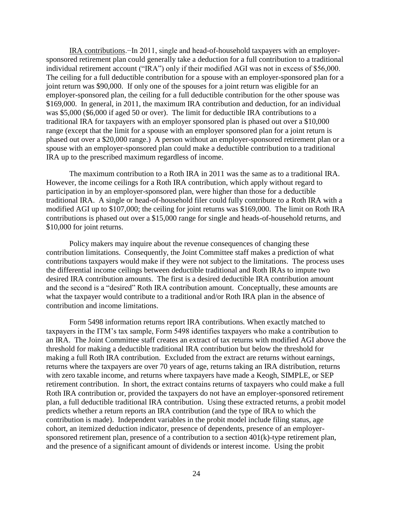IRA contributions.−In 2011, single and head-of-household taxpayers with an employersponsored retirement plan could generally take a deduction for a full contribution to a traditional individual retirement account ("IRA") only if their modified AGI was not in excess of \$56,000. The ceiling for a full deductible contribution for a spouse with an employer-sponsored plan for a joint return was \$90,000. If only one of the spouses for a joint return was eligible for an employer-sponsored plan, the ceiling for a full deductible contribution for the other spouse was \$169,000. In general, in 2011, the maximum IRA contribution and deduction, for an individual was \$5,000 (\$6,000 if aged 50 or over). The limit for deductible IRA contributions to a traditional IRA for taxpayers with an employer sponsored plan is phased out over a \$10,000 range (except that the limit for a spouse with an employer sponsored plan for a joint return is phased out over a \$20,000 range.) A person without an employer-sponsored retirement plan or a spouse with an employer-sponsored plan could make a deductible contribution to a traditional IRA up to the prescribed maximum regardless of income.

The maximum contribution to a Roth IRA in 2011 was the same as to a traditional IRA. However, the income ceilings for a Roth IRA contribution, which apply without regard to participation in by an employer-sponsored plan, were higher than those for a deductible traditional IRA. A single or head-of-household filer could fully contribute to a Roth IRA with a modified AGI up to \$107,000; the ceiling for joint returns was \$169,000. The limit on Roth IRA contributions is phased out over a \$15,000 range for single and heads-of-household returns, and \$10,000 for joint returns.

Policy makers may inquire about the revenue consequences of changing these contribution limitations. Consequently, the Joint Committee staff makes a prediction of what contributions taxpayers would make if they were not subject to the limitations. The process uses the differential income ceilings between deductible traditional and Roth IRAs to impute two desired IRA contribution amounts. The first is a desired deductible IRA contribution amount and the second is a "desired" Roth IRA contribution amount. Conceptually, these amounts are what the taxpayer would contribute to a traditional and/or Roth IRA plan in the absence of contribution and income limitations.

Form 5498 information returns report IRA contributions. When exactly matched to taxpayers in the ITM's tax sample, Form 5498 identifies taxpayers who make a contribution to an IRA. The Joint Committee staff creates an extract of tax returns with modified AGI above the threshold for making a deductible traditional IRA contribution but below the threshold for making a full Roth IRA contribution. Excluded from the extract are returns without earnings, returns where the taxpayers are over 70 years of age, returns taking an IRA distribution, returns with zero taxable income, and returns where taxpayers have made a Keogh, SIMPLE, or SEP retirement contribution. In short, the extract contains returns of taxpayers who could make a full Roth IRA contribution or, provided the taxpayers do not have an employer-sponsored retirement plan, a full deductible traditional IRA contribution. Using these extracted returns, a probit model predicts whether a return reports an IRA contribution (and the type of IRA to which the contribution is made). Independent variables in the probit model include filing status, age cohort, an itemized deduction indicator, presence of dependents, presence of an employersponsored retirement plan, presence of a contribution to a section 401(k)-type retirement plan, and the presence of a significant amount of dividends or interest income. Using the probit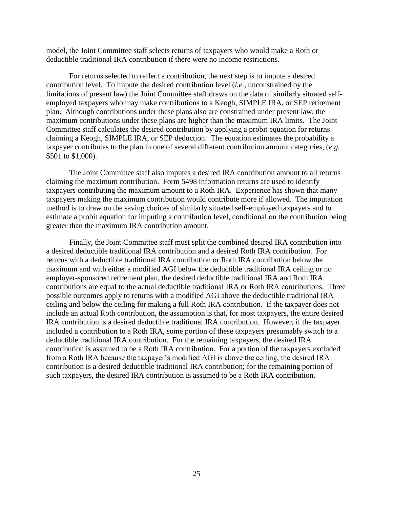model, the Joint Committee staff selects returns of taxpayers who would make a Roth or deductible traditional IRA contribution if there were no income restrictions.

For returns selected to reflect a contribution, the next step is to impute a desired contribution level. To impute the desired contribution level (*i.e.*, unconstrained by the limitations of present law) the Joint Committee staff draws on the data of similarly situated selfemployed taxpayers who may make contributions to a Keogh, SIMPLE IRA, or SEP retirement plan. Although contributions under these plans also are constrained under present law, the maximum contributions under these plans are higher than the maximum IRA limits. The Joint Committee staff calculates the desired contribution by applying a probit equation for returns claiming a Keogh, SIMPLE IRA, or SEP deduction. The equation estimates the probability a taxpayer contributes to the plan in one of several different contribution amount categories, (*e*.*g.* \$501 to \$1,000).

The Joint Committee staff also imputes a desired IRA contribution amount to all returns claiming the maximum contribution. Form 5498 information returns are used to identify taxpayers contributing the maximum amount to a Roth IRA. Experience has shown that many taxpayers making the maximum contribution would contribute more if allowed. The imputation method is to draw on the saving choices of similarly situated self-employed taxpayers and to estimate a probit equation for imputing a contribution level, conditional on the contribution being greater than the maximum IRA contribution amount.

<span id="page-26-0"></span>Finally, the Joint Committee staff must split the combined desired IRA contribution into a desired deductible traditional IRA contribution and a desired Roth IRA contribution. For returns with a deductible traditional IRA contribution or Roth IRA contribution below the maximum and with either a modified AGI below the deductible traditional IRA ceiling or no employer-sponsored retirement plan, the desired deductible traditional IRA and Roth IRA contributions are equal to the actual deductible traditional IRA or Roth IRA contributions. Three possible outcomes apply to returns with a modified AGI above the deductible traditional IRA ceiling and below the ceiling for making a full Roth IRA contribution. If the taxpayer does not include an actual Roth contribution, the assumption is that, for most taxpayers, the entire desired IRA contribution is a desired deductible traditional IRA contribution. However, if the taxpayer included a contribution to a Roth IRA, some portion of these taxpayers presumably switch to a deductible traditional IRA contribution. For the remaining taxpayers, the desired IRA contribution is assumed to be a Roth IRA contribution. For a portion of the taxpayers excluded from a Roth IRA because the taxpayer's modified AGI is above the ceiling, the desired IRA contribution is a desired deductible traditional IRA contribution; for the remaining portion of such taxpayers, the desired IRA contribution is assumed to be a Roth IRA contribution.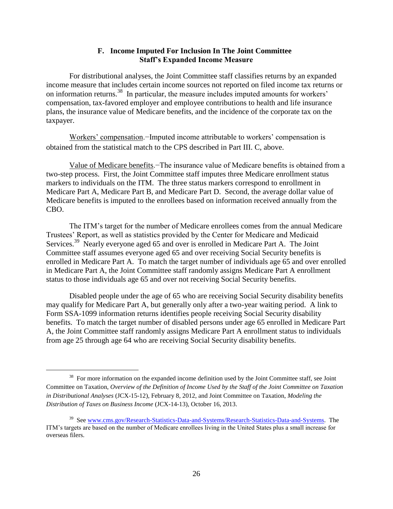## **F. Income Imputed For Inclusion In The Joint Committee Staff's Expanded Income Measure**

For distributional analyses, the Joint Committee staff classifies returns by an expanded income measure that includes certain income sources not reported on filed income tax returns or on information returns.<sup>38</sup> In particular, the measure includes imputed amounts for workers' compensation, tax-favored employer and employee contributions to health and life insurance plans, the insurance value of Medicare benefits, and the incidence of the corporate tax on the taxpayer.

Workers' compensation.−Imputed income attributable to workers' compensation is obtained from the statistical match to the CPS described in Part III. C, above.

Value of Medicare benefits.−The insurance value of Medicare benefits is obtained from a two-step process. First, the Joint Committee staff imputes three Medicare enrollment status markers to individuals on the ITM. The three status markers correspond to enrollment in Medicare Part A, Medicare Part B, and Medicare Part D. Second, the average dollar value of Medicare benefits is imputed to the enrollees based on information received annually from the CBO.

The ITM's target for the number of Medicare enrollees comes from the annual Medicare Trustees' Report, as well as statistics provided by the Center for Medicare and Medicaid Services.<sup>39</sup> Nearly everyone aged 65 and over is enrolled in Medicare Part A. The Joint Committee staff assumes everyone aged 65 and over receiving Social Security benefits is enrolled in Medicare Part A. To match the target number of individuals age 65 and over enrolled in Medicare Part A, the Joint Committee staff randomly assigns Medicare Part A enrollment status to those individuals age 65 and over not receiving Social Security benefits.

Disabled people under the age of 65 who are receiving Social Security disability benefits may qualify for Medicare Part A, but generally only after a two-year waiting period. A link to Form SSA-1099 information returns identifies people receiving Social Security disability benefits. To match the target number of disabled persons under age 65 enrolled in Medicare Part A, the Joint Committee staff randomly assigns Medicare Part A enrollment status to individuals from age 25 through age 64 who are receiving Social Security disability benefits.

 $\overline{\phantom{a}}$ 

<sup>&</sup>lt;sup>38</sup> For more information on the expanded income definition used by the Joint Committee staff, see Joint Committee on Taxation, *Overview of the Definition of Income Used by the Staff of the Joint Committee on Taxation in Distributional Analyses* (JCX-15-12), February 8, 2012, and Joint Committee on Taxation, *Modeling the Distribution of Taxes on Business Income* (JCX-14-13), October 16, 2013.

<sup>&</sup>lt;sup>39</sup> See [www.cms.gov/Research-Statistics-Data-and-Systems/Research-Statistics-Data-and-Systems.](http://www.cms.gov/Research-Statistics-Data-and-Systems/Research-Statistics-Data-and-Systems) The ITM's targets are based on the number of Medicare enrollees living in the United States plus a small increase for overseas filers.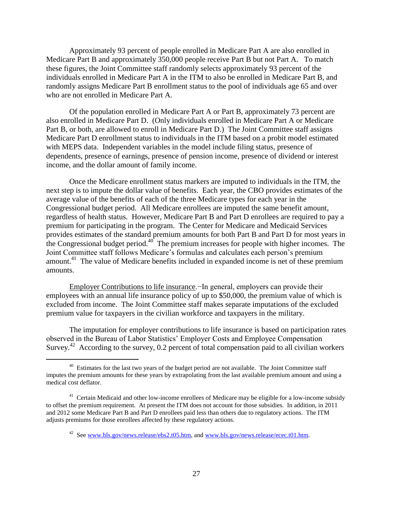Approximately 93 percent of people enrolled in Medicare Part A are also enrolled in Medicare Part B and approximately 350,000 people receive Part B but not Part A. To match these figures, the Joint Committee staff randomly selects approximately 93 percent of the individuals enrolled in Medicare Part A in the ITM to also be enrolled in Medicare Part B, and randomly assigns Medicare Part B enrollment status to the pool of individuals age 65 and over who are not enrolled in Medicare Part A.

Of the population enrolled in Medicare Part A or Part B, approximately 73 percent are also enrolled in Medicare Part D. (Only individuals enrolled in Medicare Part A or Medicare Part B, or both, are allowed to enroll in Medicare Part D.) The Joint Committee staff assigns Medicare Part D enrollment status to individuals in the ITM based on a probit model estimated with MEPS data. Independent variables in the model include filing status, presence of dependents, presence of earnings, presence of pension income, presence of dividend or interest income, and the dollar amount of family income.

Once the Medicare enrollment status markers are imputed to individuals in the ITM, the next step is to impute the dollar value of benefits. Each year, the CBO provides estimates of the average value of the benefits of each of the three Medicare types for each year in the Congressional budget period. All Medicare enrollees are imputed the same benefit amount, regardless of health status. However, Medicare Part B and Part D enrollees are required to pay a premium for participating in the program. The Center for Medicare and Medicaid Services provides estimates of the standard premium amounts for both Part B and Part D for most years in the Congressional budget period. $40^{\circ}$  The premium increases for people with higher incomes. The Joint Committee staff follows Medicare's formulas and calculates each person's premium amount.<sup>41</sup> The value of Medicare benefits included in expanded income is net of these premium amounts.

Employer Contributions to life insurance.−In general, employers can provide their employees with an annual life insurance policy of up to \$50,000, the premium value of which is excluded from income. The Joint Committee staff makes separate imputations of the excluded premium value for taxpayers in the civilian workforce and taxpayers in the military.

The imputation for employer contributions to life insurance is based on participation rates observed in the Bureau of Labor Statistics' Employer Costs and Employee Compensation Survey.<sup>42</sup> According to the survey, 0.2 percent of total compensation paid to all civilian workers

 $\overline{\phantom{a}}$ 

<sup>&</sup>lt;sup>40</sup> Estimates for the last two years of the budget period are not available. The Joint Committee staff imputes the premium amounts for these years by extrapolating from the last available premium amount and using a medical cost deflator.

<sup>&</sup>lt;sup>41</sup> Certain Medicaid and other low-income enrollees of Medicare may be eligible for a low-income subsidy to offset the premium requirement. At present the ITM does not account for those subsidies. In addition, in 2011 and 2012 some Medicare Part B and Part D enrollees paid less than others due to regulatory actions. The ITM adjusts premiums for those enrollees affected by these regulatory actions.

<sup>&</sup>lt;sup>42</sup> See [www.bls.gov/news.release/ebs2.t05.htm,](http://www.bls.gov/news.release/ebs2.t05.htm) an[d www.bls.gov/news.release/ecec.t01.htm.](http://www.bls.gov/news.release/ecec.t01.htm)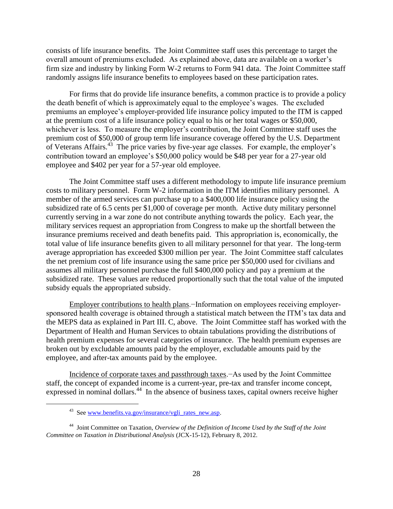consists of life insurance benefits. The Joint Committee staff uses this percentage to target the overall amount of premiums excluded. As explained above, data are available on a worker's firm size and industry by linking Form W-2 returns to Form 941 data. The Joint Committee staff randomly assigns life insurance benefits to employees based on these participation rates.

For firms that do provide life insurance benefits, a common practice is to provide a policy the death benefit of which is approximately equal to the employee's wages. The excluded premiums an employee's employer-provided life insurance policy imputed to the ITM is capped at the premium cost of a life insurance policy equal to his or her total wages or \$50,000, whichever is less. To measure the employer's contribution, the Joint Committee staff uses the premium cost of \$50,000 of group term life insurance coverage offered by the U.S. Department of Veterans Affairs.<sup>43</sup> The price varies by five-year age classes. For example, the employer's contribution toward an employee's \$50,000 policy would be \$48 per year for a 27-year old employee and \$402 per year for a 57-year old employee.

The Joint Committee staff uses a different methodology to impute life insurance premium costs to military personnel. Form W-2 information in the ITM identifies military personnel. A member of the armed services can purchase up to a \$400,000 life insurance policy using the subsidized rate of 6.5 cents per \$1,000 of coverage per month. Active duty military personnel currently serving in a war zone do not contribute anything towards the policy. Each year, the military services request an appropriation from Congress to make up the shortfall between the insurance premiums received and death benefits paid. This appropriation is, economically, the total value of life insurance benefits given to all military personnel for that year. The long-term average appropriation has exceeded \$300 million per year. The Joint Committee staff calculates the net premium cost of life insurance using the same price per \$50,000 used for civilians and assumes all military personnel purchase the full \$400,000 policy and pay a premium at the subsidized rate. These values are reduced proportionally such that the total value of the imputed subsidy equals the appropriated subsidy.

Employer contributions to health plans.−Information on employees receiving employersponsored health coverage is obtained through a statistical match between the ITM's tax data and the MEPS data as explained in Part III. C, above. The Joint Committee staff has worked with the Department of Health and Human Services to obtain tabulations providing the distributions of health premium expenses for several categories of insurance. The health premium expenses are broken out by excludable amounts paid by the employer, excludable amounts paid by the employee, and after-tax amounts paid by the employee.

Incidence of corporate taxes and passthrough taxes.−As used by the Joint Committee staff, the concept of expanded income is a current-year, pre-tax and transfer income concept, expressed in nominal dollars.<sup>44</sup> In the absence of business taxes, capital owners receive higher

 $\overline{a}$ 

<sup>&</sup>lt;sup>43</sup> See [www.benefits.va.gov/insurance/vgli\\_rates\\_new.asp.](http://www.benefits.va.gov/insurance/vgli_rates_new.asp)

<sup>44</sup> Joint Committee on Taxation, *Overview of the Definition of Income Used by the Staff of the Joint Committee on Taxation in Distributional Analysis* (JCX-15-12), February 8, 2012.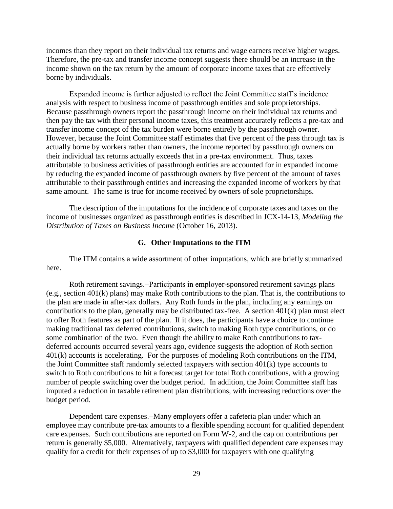incomes than they report on their individual tax returns and wage earners receive higher wages. Therefore, the pre-tax and transfer income concept suggests there should be an increase in the income shown on the tax return by the amount of corporate income taxes that are effectively borne by individuals.

Expanded income is further adjusted to reflect the Joint Committee staff's incidence analysis with respect to business income of passthrough entities and sole proprietorships. Because passthrough owners report the passthrough income on their individual tax returns and then pay the tax with their personal income taxes, this treatment accurately reflects a pre-tax and transfer income concept of the tax burden were borne entirely by the passthrough owner. However, because the Joint Committee staff estimates that five percent of the pass through tax is actually borne by workers rather than owners, the income reported by passthrough owners on their individual tax returns actually exceeds that in a pre-tax environment. Thus, taxes attributable to business activities of passthrough entities are accounted for in expanded income by reducing the expanded income of passthrough owners by five percent of the amount of taxes attributable to their passthrough entities and increasing the expanded income of workers by that same amount. The same is true for income received by owners of sole proprietorships.

The description of the imputations for the incidence of corporate taxes and taxes on the income of businesses organized as passthrough entities is described in JCX-14-13, *Modeling the Distribution of Taxes on Business Income* (October 16, 2013).

### **G. Other Imputations to the ITM**

<span id="page-30-0"></span>The ITM contains a wide assortment of other imputations, which are briefly summarized here.

Roth retirement savings.−Participants in employer-sponsored retirement savings plans (e.g., section 401(k) plans) may make Roth contributions to the plan. That is, the contributions to the plan are made in after-tax dollars. Any Roth funds in the plan, including any earnings on contributions to the plan, generally may be distributed tax-free. A section 401(k) plan must elect to offer Roth features as part of the plan. If it does, the participants have a choice to continue making traditional tax deferred contributions, switch to making Roth type contributions, or do some combination of the two. Even though the ability to make Roth contributions to taxdeferred accounts occurred several years ago, evidence suggests the adoption of Roth section 401(k) accounts is accelerating. For the purposes of modeling Roth contributions on the ITM, the Joint Committee staff randomly selected taxpayers with section 401(k) type accounts to switch to Roth contributions to hit a forecast target for total Roth contributions, with a growing number of people switching over the budget period. In addition, the Joint Committee staff has imputed a reduction in taxable retirement plan distributions, with increasing reductions over the budget period.

Dependent care expenses.−Many employers offer a cafeteria plan under which an employee may contribute pre-tax amounts to a flexible spending account for qualified dependent care expenses. Such contributions are reported on Form W-2, and the cap on contributions per return is generally \$5,000. Alternatively, taxpayers with qualified dependent care expenses may qualify for a credit for their expenses of up to \$3,000 for taxpayers with one qualifying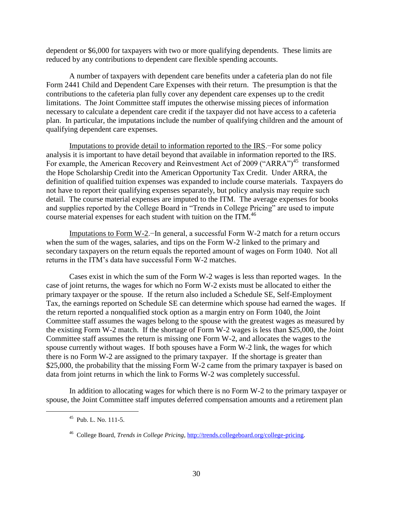dependent or \$6,000 for taxpayers with two or more qualifying dependents. These limits are reduced by any contributions to dependent care flexible spending accounts.

A number of taxpayers with dependent care benefits under a cafeteria plan do not file Form 2441 Child and Dependent Care Expenses with their return. The presumption is that the contributions to the cafeteria plan fully cover any dependent care expenses up to the credit limitations. The Joint Committee staff imputes the otherwise missing pieces of information necessary to calculate a dependent care credit if the taxpayer did not have access to a cafeteria plan. In particular, the imputations include the number of qualifying children and the amount of qualifying dependent care expenses.

Imputations to provide detail to information reported to the IRS.−For some policy analysis it is important to have detail beyond that available in information reported to the IRS. For example, the American Recovery and Reinvestment Act of 2009 ("ARRA")<sup>45</sup> transformed the Hope Scholarship Credit into the American Opportunity Tax Credit. Under ARRA, the definition of qualified tuition expenses was expanded to include course materials. Taxpayers do not have to report their qualifying expenses separately, but policy analysis may require such detail. The course material expenses are imputed to the ITM. The average expenses for books and supplies reported by the College Board in "Trends in College Pricing" are used to impute course material expenses for each student with tuition on the ITM.<sup>46</sup>

Imputations to Form W-2.−In general, a successful Form W-2 match for a return occurs when the sum of the wages, salaries, and tips on the Form W-2 linked to the primary and secondary taxpayers on the return equals the reported amount of wages on Form 1040. Not all returns in the ITM's data have successful Form W-2 matches.

Cases exist in which the sum of the Form W-2 wages is less than reported wages. In the case of joint returns, the wages for which no Form W-2 exists must be allocated to either the primary taxpayer or the spouse. If the return also included a Schedule SE, Self-Employment Tax, the earnings reported on Schedule SE can determine which spouse had earned the wages. If the return reported a nonqualified stock option as a margin entry on Form 1040, the Joint Committee staff assumes the wages belong to the spouse with the greatest wages as measured by the existing Form W-2 match. If the shortage of Form W-2 wages is less than \$25,000, the Joint Committee staff assumes the return is missing one Form W-2, and allocates the wages to the spouse currently without wages. If both spouses have a Form W-2 link, the wages for which there is no Form W-2 are assigned to the primary taxpayer. If the shortage is greater than \$25,000, the probability that the missing Form W-2 came from the primary taxpayer is based on data from joint returns in which the link to Forms W-2 was completely successful.

In addition to allocating wages for which there is no Form W-2 to the primary taxpayer or spouse, the Joint Committee staff imputes deferred compensation amounts and a retirement plan

 $\overline{\phantom{a}}$ 

<sup>45</sup> Pub. L. No. 111-5.

<sup>46</sup> College Board, *Trends in College Pricing*[, http://trends.collegeboard.org/college-pricing.](http://trends.collegeboard.org/college-pricing)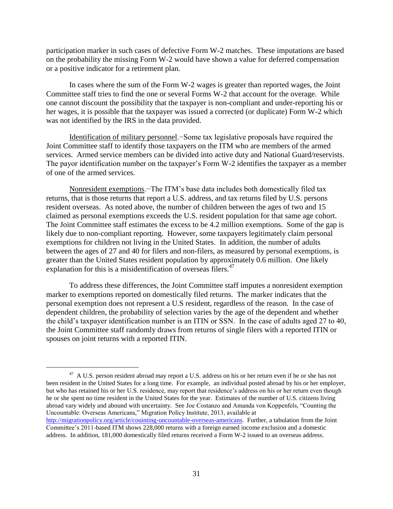participation marker in such cases of defective Form W-2 matches. These imputations are based on the probability the missing Form W-2 would have shown a value for deferred compensation or a positive indicator for a retirement plan.

In cases where the sum of the Form W-2 wages is greater than reported wages, the Joint Committee staff tries to find the one or several Forms W-2 that account for the overage. While one cannot discount the possibility that the taxpayer is non-compliant and under-reporting his or her wages, it is possible that the taxpayer was issued a corrected (or duplicate) Form W-2 which was not identified by the IRS in the data provided.

Identification of military personnel.−Some tax legislative proposals have required the Joint Committee staff to identify those taxpayers on the ITM who are members of the armed services. Armed service members can be divided into active duty and National Guard/reservists. The payor identification number on the taxpayer's Form W-2 identifies the taxpayer as a member of one of the armed services.

Nonresident exemptions.−The ITM's base data includes both domestically filed tax returns, that is those returns that report a U.S. address, and tax returns filed by U.S. persons resident overseas. As noted above, the number of children between the ages of two and 15 claimed as personal exemptions exceeds the U.S. resident population for that same age cohort. The Joint Committee staff estimates the excess to be 4.2 million exemptions. Some of the gap is likely due to non-compliant reporting. However, some taxpayers legitimately claim personal exemptions for children not living in the United States. In addition, the number of adults between the ages of 27 and 40 for filers and non-filers, as measured by personal exemptions, is greater than the United States resident population by approximately 0.6 million. One likely explanation for this is a misidentification of overseas filers. $47$ 

To address these differences, the Joint Committee staff imputes a nonresident exemption marker to exemptions reported on domestically filed returns. The marker indicates that the personal exemption does not represent a U.S resident, regardless of the reason. In the case of dependent children, the probability of selection varies by the age of the dependent and whether the child's taxpayer identification number is an ITIN or SSN. In the case of adults aged 27 to 40, the Joint Committee staff randomly draws from returns of single filers with a reported ITIN or spouses on joint returns with a reported ITIN.

 $\overline{a}$ 

 $^{47}$  A U.S. person resident abroad may report a U.S. address on his or her return even if he or she has not been resident in the United States for a long time. For example, an individual posted abroad by his or her employer, but who has retained his or her U.S. residence, may report that residence's address on his or her return even though he or she spent no time resident in the United States for the year. Estimates of the number of U.S. citizens living abroad vary widely and abound with uncertainty. See Joe Costanzo and Amanda von Koppenfels, "Counting the Uncountable: Overseas Americans," Migration Policy Institute, 2013, available at

[http://migrationpolicy.org/article/couinting-uncountable-overseas-americans.](http://migrationpolicy.org/article/couinting-uncountable-overseas-americans) Further, a tabulation from the Joint Committee's 2011-based ITM shows 228,000 returns with a foreign earned income exclusion and a domestic address. In addition, 181,000 domestically filed returns received a Form W-2 issued to an overseas address.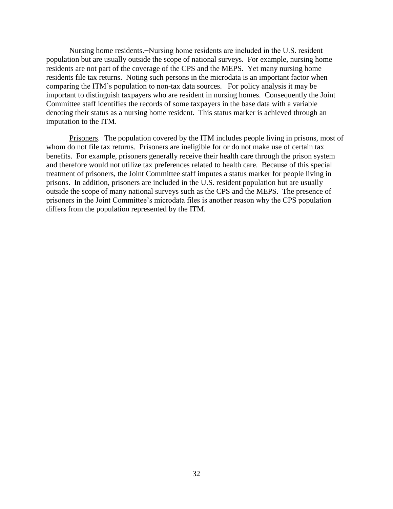Nursing home residents.−Nursing home residents are included in the U.S. resident population but are usually outside the scope of national surveys. For example, nursing home residents are not part of the coverage of the CPS and the MEPS. Yet many nursing home residents file tax returns. Noting such persons in the microdata is an important factor when comparing the ITM's population to non-tax data sources. For policy analysis it may be important to distinguish taxpayers who are resident in nursing homes. Consequently the Joint Committee staff identifies the records of some taxpayers in the base data with a variable denoting their status as a nursing home resident. This status marker is achieved through an imputation to the ITM.

Prisoners.−The population covered by the ITM includes people living in prisons, most of whom do not file tax returns. Prisoners are ineligible for or do not make use of certain tax benefits. For example, prisoners generally receive their health care through the prison system and therefore would not utilize tax preferences related to health care. Because of this special treatment of prisoners, the Joint Committee staff imputes a status marker for people living in prisons. In addition, prisoners are included in the U.S. resident population but are usually outside the scope of many national surveys such as the CPS and the MEPS. The presence of prisoners in the Joint Committee's microdata files is another reason why the CPS population differs from the population represented by the ITM.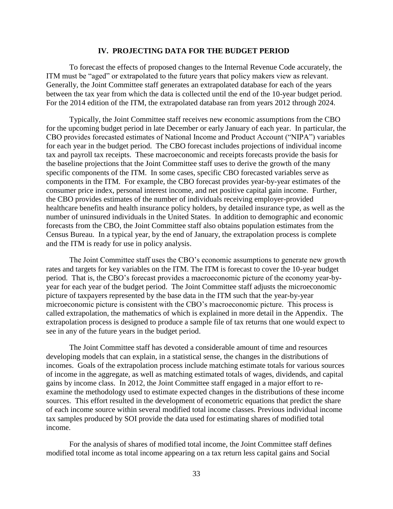### **IV. PROJECTING DATA FOR THE BUDGET PERIOD**

<span id="page-34-0"></span>To forecast the effects of proposed changes to the Internal Revenue Code accurately, the ITM must be "aged" or extrapolated to the future years that policy makers view as relevant. Generally, the Joint Committee staff generates an extrapolated database for each of the years between the tax year from which the data is collected until the end of the 10-year budget period. For the 2014 edition of the ITM, the extrapolated database ran from years 2012 through 2024.

Typically, the Joint Committee staff receives new economic assumptions from the CBO for the upcoming budget period in late December or early January of each year. In particular, the CBO provides forecasted estimates of National Income and Product Account ("NIPA") variables for each year in the budget period. The CBO forecast includes projections of individual income tax and payroll tax receipts. These macroeconomic and receipts forecasts provide the basis for the baseline projections that the Joint Committee staff uses to derive the growth of the many specific components of the ITM. In some cases, specific CBO forecasted variables serve as components in the ITM. For example, the CBO forecast provides year-by-year estimates of the consumer price index, personal interest income, and net positive capital gain income. Further, the CBO provides estimates of the number of individuals receiving employer-provided healthcare benefits and health insurance policy holders, by detailed insurance type, as well as the number of uninsured individuals in the United States. In addition to demographic and economic forecasts from the CBO, the Joint Committee staff also obtains population estimates from the Census Bureau. In a typical year, by the end of January, the extrapolation process is complete and the ITM is ready for use in policy analysis.

The Joint Committee staff uses the CBO's economic assumptions to generate new growth rates and targets for key variables on the ITM. The ITM is forecast to cover the 10-year budget period. That is, the CBO's forecast provides a macroeconomic picture of the economy year-byyear for each year of the budget period. The Joint Committee staff adjusts the microeconomic picture of taxpayers represented by the base data in the ITM such that the year-by-year microeconomic picture is consistent with the CBO's macroeconomic picture. This process is called extrapolation, the mathematics of which is explained in more detail in the Appendix. The extrapolation process is designed to produce a sample file of tax returns that one would expect to see in any of the future years in the budget period.

The Joint Committee staff has devoted a considerable amount of time and resources developing models that can explain, in a statistical sense, the changes in the distributions of incomes. Goals of the extrapolation process include matching estimate totals for various sources of income in the aggregate, as well as matching estimated totals of wages, dividends, and capital gains by income class. In 2012, the Joint Committee staff engaged in a major effort to reexamine the methodology used to estimate expected changes in the distributions of these income sources. This effort resulted in the development of econometric equations that predict the share of each income source within several modified total income classes. Previous individual income tax samples produced by SOI provide the data used for estimating shares of modified total income.

For the analysis of shares of modified total income, the Joint Committee staff defines modified total income as total income appearing on a tax return less capital gains and Social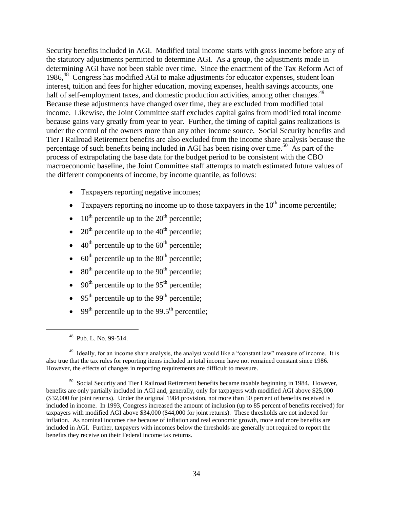Security benefits included in AGI. Modified total income starts with gross income before any of the statutory adjustments permitted to determine AGI. As a group, the adjustments made in determining AGI have not been stable over time. Since the enactment of the Tax Reform Act of 1986,<sup>48</sup> Congress has modified AGI to make adjustments for educator expenses, student loan interest, tuition and fees for higher education, moving expenses, health savings accounts, one half of self-employment taxes, and domestic production activities, among other changes.<sup>49</sup> Because these adjustments have changed over time, they are excluded from modified total income. Likewise, the Joint Committee staff excludes capital gains from modified total income because gains vary greatly from year to year. Further, the timing of capital gains realizations is under the control of the owners more than any other income source. Social Security benefits and Tier I Railroad Retirement benefits are also excluded from the income share analysis because the percentage of such benefits being included in AGI has been rising over time.<sup>50</sup> As part of the process of extrapolating the base data for the budget period to be consistent with the CBO macroeconomic baseline, the Joint Committee staff attempts to match estimated future values of the different components of income, by income quantile, as follows:

- Taxpayers reporting negative incomes;
- Taxpayers reporting no income up to those taxpayers in the  $10<sup>th</sup>$  income percentile;
- $\bullet$  10<sup>th</sup> percentile up to the 20<sup>th</sup> percentile;
- 20<sup>th</sup> percentile up to the 40<sup>th</sup> percentile;
- $\bullet$  40<sup>th</sup> percentile up to the 60<sup>th</sup> percentile;
- $\bullet$  60<sup>th</sup> percentile up to the 80<sup>th</sup> percentile;
- $\bullet$  80<sup>th</sup> percentile up to the 90<sup>th</sup> percentile;
- $\bullet$  90<sup>th</sup> percentile up to the 95<sup>th</sup> percentile;
- $\bullet$  95<sup>th</sup> percentile up to the 99<sup>th</sup> percentile;
- $\bullet$  99<sup>th</sup> percentile up to the 99.5<sup>th</sup> percentile;

 $\overline{\phantom{a}}$ 

<sup>&</sup>lt;sup>48</sup> Pub. L. No. 99-514.

<sup>&</sup>lt;sup>49</sup> Ideally, for an income share analysis, the analyst would like a "constant law" measure of income. It is also true that the tax rules for reporting items included in total income have not remained constant since 1986. However, the effects of changes in reporting requirements are difficult to measure.

<sup>&</sup>lt;sup>50</sup> Social Security and Tier I Railroad Retirement benefits became taxable beginning in 1984. However, benefits are only partially included in AGI and, generally, only for taxpayers with modified AGI above \$25,000 (\$32,000 for joint returns). Under the original 1984 provision, not more than 50 percent of benefits received is included in income. In 1993, Congress increased the amount of inclusion (up to 85 percent of benefits received) for taxpayers with modified AGI above \$34,000 (\$44,000 for joint returns). These thresholds are not indexed for inflation. As nominal incomes rise because of inflation and real economic growth, more and more benefits are included in AGI. Further, taxpayers with incomes below the thresholds are generally not required to report the benefits they receive on their Federal income tax returns.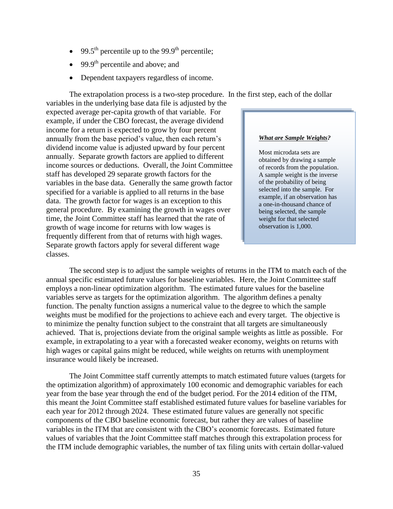- $\bullet$  99.5<sup>th</sup> percentile up to the 99.9<sup>th</sup> percentile;
- $\bullet$  99.9<sup>th</sup> percentile and above; and
- Dependent taxpayers regardless of income.

The extrapolation process is a two-step procedure. In the first step, each of the dollar

variables in the underlying base data file is adjusted by the expected average per-capita growth of that variable. For example, if under the CBO forecast, the average dividend income for a return is expected to grow by four percent annually from the base period's value, then each return's dividend income value is adjusted upward by four percent annually. Separate growth factors are applied to different income sources or deductions. Overall, the Joint Committee staff has developed 29 separate growth factors for the variables in the base data. Generally the same growth factor specified for a variable is applied to all returns in the base data. The growth factor for wages is an exception to this general procedure. By examining the growth in wages over time, the Joint Committee staff has learned that the rate of growth of wage income for returns with low wages is frequently different from that of returns with high wages. Separate growth factors apply for several different wage classes.

### *What are Sample Weights?*

Most microdata sets are obtained by drawing a sample of records from the population. A sample weight is the inverse of the probability of being selected into the sample. For example, if an observation has a one-in-thousand chance of being selected, the sample weight for that selected observation is 1,000.

The second step is to adjust the sample weights of returns in the ITM to match each of the annual specific estimated future values for baseline variables. Here, the Joint Committee staff employs a non-linear optimization algorithm. The estimated future values for the baseline variables serve as targets for the optimization algorithm. The algorithm defines a penalty function. The penalty function assigns a numerical value to the degree to which the sample weights must be modified for the projections to achieve each and every target. The objective is to minimize the penalty function subject to the constraint that all targets are simultaneously achieved. That is, projections deviate from the original sample weights as little as possible. For example, in extrapolating to a year with a forecasted weaker economy, weights on returns with high wages or capital gains might be reduced, while weights on returns with unemployment insurance would likely be increased.

The Joint Committee staff currently attempts to match estimated future values (targets for the optimization algorithm) of approximately 100 economic and demographic variables for each year from the base year through the end of the budget period. For the 2014 edition of the ITM, this meant the Joint Committee staff established estimated future values for baseline variables for each year for 2012 through 2024. These estimated future values are generally not specific components of the CBO baseline economic forecast, but rather they are values of baseline variables in the ITM that are consistent with the CBO's economic forecasts. Estimated future values of variables that the Joint Committee staff matches through this extrapolation process for the ITM include demographic variables, the number of tax filing units with certain dollar-valued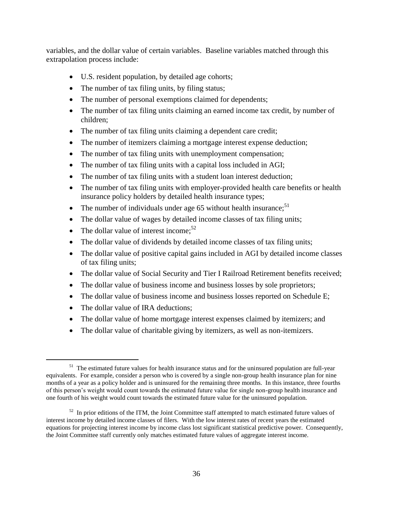variables, and the dollar value of certain variables. Baseline variables matched through this extrapolation process include:

- U.S. resident population, by detailed age cohorts;
- The number of tax filing units, by filing status;
- The number of personal exemptions claimed for dependents;
- The number of tax filing units claiming an earned income tax credit, by number of children;
- The number of tax filing units claiming a dependent care credit;
- The number of itemizers claiming a mortgage interest expense deduction;
- The number of tax filing units with unemployment compensation;
- The number of tax filing units with a capital loss included in AGI;
- The number of tax filing units with a student loan interest deduction;
- The number of tax filing units with employer-provided health care benefits or health insurance policy holders by detailed health insurance types;
- The number of individuals under age 65 without health insurance;<sup>51</sup>
- The dollar value of wages by detailed income classes of tax filing units;
- The dollar value of interest income:  $52$
- The dollar value of dividends by detailed income classes of tax filing units;
- The dollar value of positive capital gains included in AGI by detailed income classes of tax filing units;
- The dollar value of Social Security and Tier I Railroad Retirement benefits received;
- The dollar value of business income and business losses by sole proprietors;
- The dollar value of business income and business losses reported on Schedule E;
- The dollar value of IRA deductions;

 $\overline{a}$ 

- The dollar value of home mortgage interest expenses claimed by itemizers; and
- The dollar value of charitable giving by itemizers, as well as non-itemizers.

 $51$  The estimated future values for health insurance status and for the uninsured population are full-year equivalents. For example, consider a person who is covered by a single non-group health insurance plan for nine months of a year as a policy holder and is uninsured for the remaining three months. In this instance, three fourths of this person's weight would count towards the estimated future value for single non-group health insurance and one fourth of his weight would count towards the estimated future value for the uninsured population.

 $52$  In prior editions of the ITM, the Joint Committee staff attempted to match estimated future values of interest income by detailed income classes of filers. With the low interest rates of recent years the estimated equations for projecting interest income by income class lost significant statistical predictive power. Consequently, the Joint Committee staff currently only matches estimated future values of aggregate interest income.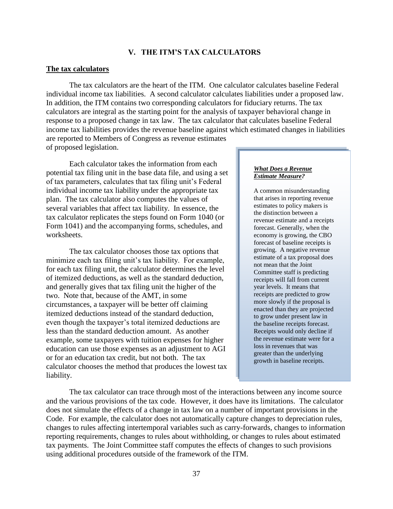### **V. THE ITM'S TAX CALCULATORS**

### <span id="page-38-0"></span>**The tax calculators**

The tax calculators are the heart of the ITM. One calculator calculates baseline Federal individual income tax liabilities. A second calculator calculates liabilities under a proposed law. In addition, the ITM contains two corresponding calculators for fiduciary returns. The tax calculators are integral as the starting point for the analysis of taxpayer behavioral change in response to a proposed change in tax law. The tax calculator that calculates baseline Federal income tax liabilities provides the revenue baseline against which estimated changes in liabilities are reported to Members of Congress as revenue estimates of proposed legislation.

Each calculator takes the information from each potential tax filing unit in the base data file, and using a set of tax parameters, calculates that tax filing unit's Federal individual income tax liability under the appropriate tax plan. The tax calculator also computes the values of several variables that affect tax liability. In essence, the tax calculator replicates the steps found on Form 1040 (or Form 1041) and the accompanying forms, schedules, and worksheets.

The tax calculator chooses those tax options that minimize each tax filing unit's tax liability. For example, for each tax filing unit, the calculator determines the level of itemized deductions, as well as the standard deduction, and generally gives that tax filing unit the higher of the two. Note that, because of the AMT, in some circumstances, a taxpayer will be better off claiming itemized deductions instead of the standard deduction, even though the taxpayer's total itemized deductions are less than the standard deduction amount. As another example, some taxpayers with tuition expenses for higher education can use those expenses as an adjustment to AGI or for an education tax credit, but not both. The tax calculator chooses the method that produces the lowest tax liability.

#### *What Does a Revenue Estimate Measure?*

A common misunderstanding that arises in reporting revenue estimates to policy makers is the distinction between a revenue estimate and a receipts forecast. Generally, when the economy is growing, the CBO forecast of baseline receipts is growing. A negative revenue estimate of a tax proposal does not mean that the Joint Committee staff is predicting receipts will fall from current year levels. It means that receipts are predicted to grow more slowly if the proposal is enacted than they are projected to grow under present law in the baseline receipts forecast. Receipts would only decline if the revenue estimate were for a loss in revenues that was greater than the underlying growth in baseline receipts.

The tax calculator can trace through most of the interactions between any income source and the various provisions of the tax code. However, it does have its limitations. The calculator does not simulate the effects of a change in tax law on a number of important provisions in the Code. For example, the calculator does not automatically capture changes to depreciation rules, changes to rules affecting intertemporal variables such as carry-forwards, changes to information reporting requirements, changes to rules about withholding, or changes to rules about estimated tax payments. The Joint Committee staff computes the effects of changes to such provisions using additional procedures outside of the framework of the ITM.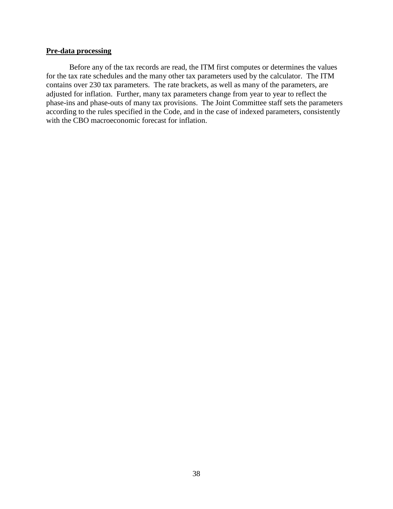### **Pre-data processing**

Before any of the tax records are read, the ITM first computes or determines the values for the tax rate schedules and the many other tax parameters used by the calculator. The ITM contains over 230 tax parameters. The rate brackets, as well as many of the parameters, are adjusted for inflation. Further, many tax parameters change from year to year to reflect the phase-ins and phase-outs of many tax provisions. The Joint Committee staff sets the parameters according to the rules specified in the Code, and in the case of indexed parameters, consistently with the CBO macroeconomic forecast for inflation.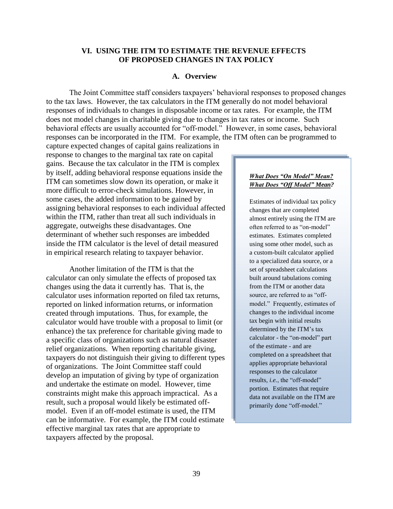## <span id="page-40-0"></span>**VI. USING THE ITM TO ESTIMATE THE REVENUE EFFECTS OF PROPOSED CHANGES IN TAX POLICY**

#### **A. Overview**

<span id="page-40-1"></span>The Joint Committee staff considers taxpayers' behavioral responses to proposed changes to the tax laws. However, the tax calculators in the ITM generally do not model behavioral responses of individuals to changes in disposable income or tax rates. For example, the ITM does not model changes in charitable giving due to changes in tax rates or income. Such behavioral effects are usually accounted for "off-model." However, in some cases, behavioral responses can be incorporated in the ITM. For example, the ITM often can be programmed to

capture expected changes of capital gains realizations in response to changes to the marginal tax rate on capital gains. Because the tax calculator in the ITM is complex by itself, adding behavioral response equations inside the ITM can sometimes slow down its operation, or make it more difficult to error-check simulations. However, in some cases, the added information to be gained by assigning behavioral responses to each individual affected within the ITM, rather than treat all such individuals in aggregate, outweighs these disadvantages. One determinant of whether such responses are imbedded inside the ITM calculator is the level of detail measured in empirical research relating to taxpayer behavior.

Another limitation of the ITM is that the calculator can only simulate the effects of proposed tax changes using the data it currently has. That is, the calculator uses information reported on filed tax returns, reported on linked information returns, or information created through imputations. Thus, for example, the calculator would have trouble with a proposal to limit (or enhance) the tax preference for charitable giving made to a specific class of organizations such as natural disaster relief organizations. When reporting charitable giving, taxpayers do not distinguish their giving to different types of organizations. The Joint Committee staff could develop an imputation of giving by type of organization and undertake the estimate on model. However, time constraints might make this approach impractical. As a result, such a proposal would likely be estimated offmodel. Even if an off-model estimate is used, the ITM can be informative. For example, the ITM could estimate effective marginal tax rates that are appropriate to taxpayers affected by the proposal.

#### *What Does "On Model" Mean? What Does "Off Model" Mean?*

Estimates of individual tax policy changes that are completed almost entirely using the ITM are often referred to as "on-model" estimates. Estimates completed using some other model, such as a custom-built calculator applied to a specialized data source, or a set of spreadsheet calculations built around tabulations coming from the ITM or another data source, are referred to as "offmodel." Frequently, estimates of changes to the individual income tax begin with initial results determined by the ITM's tax calculator - the "on-model" part of the estimate - and are completed on a spreadsheet that applies appropriate behavioral responses to the calculator results, *i.e.*, the "off-model" portion. Estimates that require data not available on the ITM are primarily done "off-model."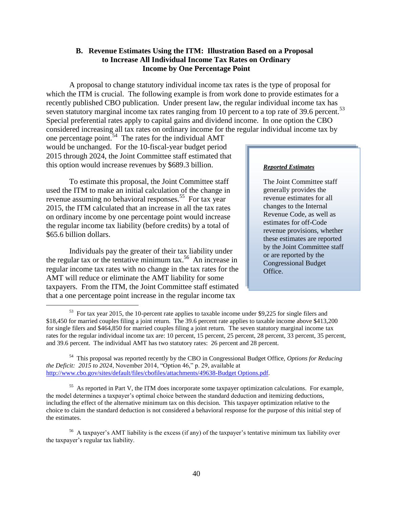## <span id="page-41-0"></span>**B. Revenue Estimates Using the ITM: Illustration Based on a Proposal to Increase All Individual Income Tax Rates on Ordinary Income by One Percentage Point**

A proposal to change statutory individual income tax rates is the type of proposal for which the ITM is crucial. The following example is from work done to provide estimates for a recently published CBO publication. Under present law, the regular individual income tax has seven statutory marginal income tax rates ranging from 10 percent to a top rate of 39.6 percent.<sup>53</sup> Special preferential rates apply to capital gains and dividend income. In one option the CBO considered increasing all tax rates on ordinary income for the regular individual income tax by

one percentage point.<sup>54</sup> The rates for the individual AMT would be unchanged. For the 10-fiscal-year budget period 2015 through 2024, the Joint Committee staff estimated that this option would increase revenues by \$689.3 billion.

To estimate this proposal, the Joint Committee staff used the ITM to make an initial calculation of the change in revenue assuming no behavioral responses.<sup>55</sup> For tax year 2015, the ITM calculated that an increase in all the tax rates on ordinary income by one percentage point would increase the regular income tax liability (before credits) by a total of \$65.6 billion dollars.

Individuals pay the greater of their tax liability under the regular tax or the tentative minimum tax.<sup>56</sup> An increase in regular income tax rates with no change in the tax rates for the AMT will reduce or eliminate the AMT liability for some taxpayers. From the ITM, the Joint Committee staff estimated that a one percentage point increase in the regular income tax

 $\overline{\phantom{a}}$ 

#### *Reported Estimates*

The Joint Committee staff generally provides the revenue estimates for all changes to the Internal Revenue Code, as well as estimates for off-Code revenue provisions, whether these estimates are reported by the Joint Committee staff or are reported by the Congressional Budget Office.

<sup>55</sup> As reported in Part V, the ITM does incorporate some taxpayer optimization calculations. For example, the model determines a taxpayer's optimal choice between the standard deduction and itemizing deductions, including the effect of the alternative minimum tax on this decision. This taxpayer optimization relative to the choice to claim the standard deduction is not considered a behavioral response for the purpose of this initial step of the estimates.

 $53$  For tax year 2015, the 10-percent rate applies to taxable income under \$9,225 for single filers and \$18,450 for married couples filing a joint return. The 39.6 percent rate applies to taxable income above \$413,200 for single filers and \$464,850 for married couples filing a joint return. The seven statutory marginal income tax rates for the regular individual income tax are: 10 percent, 15 percent, 25 percent, 28 percent, 33 percent, 35 percent, and 39.6 percent. The individual AMT has two statutory rates: 26 percent and 28 percent.

<sup>54</sup> This proposal was reported recently by the CBO in Congressional Budget Office, *Options for Reducing the Deficit: 2015 to 2024*, November 2014, "Option 46," p. 29, available at [http://www.cbo.gov/sites/default/files/cbofiles/attachments/49638-Budget Options.pdf.](http://www.cbo.gov/sites/default/files/cbofiles/attachments/49638-Budget%20Options.pdf)

<sup>&</sup>lt;sup>56</sup> A taxpayer's AMT liability is the excess (if any) of the taxpayer's tentative minimum tax liability over the taxpayer's regular tax liability.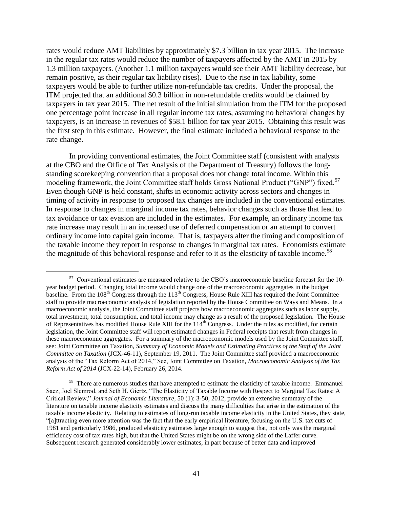rates would reduce AMT liabilities by approximately \$7.3 billion in tax year 2015. The increase in the regular tax rates would reduce the number of taxpayers affected by the AMT in 2015 by 1.3 million taxpayers. (Another 1.1 million taxpayers would see their AMT liability decrease, but remain positive, as their regular tax liability rises). Due to the rise in tax liability, some taxpayers would be able to further utilize non-refundable tax credits. Under the proposal, the ITM projected that an additional \$0.3 billion in non-refundable credits would be claimed by taxpayers in tax year 2015. The net result of the initial simulation from the ITM for the proposed one percentage point increase in all regular income tax rates, assuming no behavioral changes by taxpayers, is an increase in revenues of \$58.1 billion for tax year 2015. Obtaining this result was the first step in this estimate. However, the final estimate included a behavioral response to the rate change.

In providing conventional estimates, the Joint Committee staff (consistent with analysts at the CBO and the Office of Tax Analysis of the Department of Treasury) follows the longstanding scorekeeping convention that a proposal does not change total income. Within this modeling framework, the Joint Committee staff holds Gross National Product ("GNP") fixed.<sup>57</sup> Even though GNP is held constant, shifts in economic activity across sectors and changes in timing of activity in response to proposed tax changes are included in the conventional estimates. In response to changes in marginal income tax rates, behavior changes such as those that lead to tax avoidance or tax evasion are included in the estimates. For example, an ordinary income tax rate increase may result in an increased use of deferred compensation or an attempt to convert ordinary income into capital gain income. That is, taxpayers alter the timing and composition of the taxable income they report in response to changes in marginal tax rates. Economists estimate the magnitude of this behavioral response and refer to it as the elasticity of taxable income.<sup>58</sup>

l

 $58$  There are numerous studies that have attempted to estimate the elasticity of taxable income. Emmanuel Saez, Joel Slemrod, and Seth H. Giertz, "The Elasticity of Taxable Income with Respect to Marginal Tax Rates: A Critical Review," *Journal of Economic Literature*, 50 (1): 3-50, 2012, provide an extensive summary of the literature on taxable income elasticity estimates and discuss the many difficulties that arise in the estimation of the taxable income elasticity. Relating to estimates of long-run taxable income elasticity in the United States, they state, "[a]ttracting even more attention was the fact that the early empirical literature, focusing on the U.S. tax cuts of 1981 and particularly 1986, produced elasticity estimates large enough to suggest that, not only was the marginal efficiency cost of tax rates high, but that the United States might be on the wrong side of the Laffer curve. Subsequent research generated considerably lower estimates, in part because of better data and improved

<sup>&</sup>lt;sup>57</sup> Conventional estimates are measured relative to the CBO's macroeconomic baseline forecast for the 10year budget period. Changing total income would change one of the macroeconomic aggregates in the budget baseline. From the 108<sup>th</sup> Congress through the 113<sup>th</sup> Congress, House Rule XIII has required the Joint Committee staff to provide macroeconomic analysis of legislation reported by the House Committee on Ways and Means. In a macroeconomic analysis, the Joint Committee staff projects how macroeconomic aggregates such as labor supply, total investment, total consumption, and total income may change as a result of the proposed legislation. The House of Representatives has modified House Rule XIII for the  $114<sup>th</sup>$  Congress. Under the rules as modified, for certain legislation, the Joint Committee staff will report estimated changes in Federal receipts that result from changes in these macroeconomic aggregates. For a summary of the macroeconomic models used by the Joint Committee staff, see: Joint Committee on Taxation, *Summary of Economic Models and Estimating Practices of the Staff of the Joint Committee on Taxation* (JCX-46-11), September 19, 2011. The Joint Committee staff provided a macroeconomic analysis of the "Tax Reform Act of 2014," See, Joint Committee on Taxation, *Macroeconomic Analysis of the Tax Reform Act of 2014* (JCX-22-14), February 26, 2014.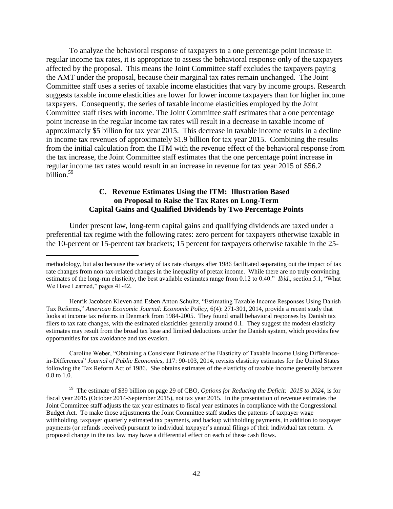To analyze the behavioral response of taxpayers to a one percentage point increase in regular income tax rates, it is appropriate to assess the behavioral response only of the taxpayers affected by the proposal. This means the Joint Committee staff excludes the taxpayers paying the AMT under the proposal, because their marginal tax rates remain unchanged. The Joint Committee staff uses a series of taxable income elasticities that vary by income groups. Research suggests taxable income elasticities are lower for lower income taxpayers than for higher income taxpayers. Consequently, the series of taxable income elasticities employed by the Joint Committee staff rises with income. The Joint Committee staff estimates that a one percentage point increase in the regular income tax rates will result in a decrease in taxable income of approximately \$5 billion for tax year 2015. This decrease in taxable income results in a decline in income tax revenues of approximately \$1.9 billion for tax year 2015. Combining the results from the initial calculation from the ITM with the revenue effect of the behavioral response from the tax increase, the Joint Committee staff estimates that the one percentage point increase in regular income tax rates would result in an increase in revenue for tax year 2015 of \$56.2 billion.<sup>59</sup>

## **C. Revenue Estimates Using the ITM: Illustration Based on Proposal to Raise the Tax Rates on Long-Term Capital Gains and Qualified Dividends by Two Percentage Points**

<span id="page-43-0"></span>Under present law, long-term capital gains and qualifying dividends are taxed under a preferential tax regime with the following rates: zero percent for taxpayers otherwise taxable in the 10-percent or 15-percent tax brackets; 15 percent for taxpayers otherwise taxable in the 25-

 $\overline{a}$ 

Henrik Jacobsen Kleven and Esben Anton Schultz, "Estimating Taxable Income Responses Using Danish Tax Reforms," *American Economic Journal: Economic Policy*, 6(4): 271-301, 2014, provide a recent study that looks at income tax reforms in Denmark from 1984-2005. They found small behavioral responses by Danish tax filers to tax rate changes, with the estimated elasticities generally around 0.1. They suggest the modest elasticity estimates may result from the broad tax base and limited deductions under the Danish system, which provides few opportunities for tax avoidance and tax evasion.

Caroline Weber, "Obtaining a Consistent Estimate of the Elasticity of Taxable Income Using Differencein-Differences" *Journal of Public Economics*, 117: 90-103, 2014, revisits elasticity estimates for the United States following the Tax Reform Act of 1986. She obtains estimates of the elasticity of taxable income generally between 0.8 to 1.0.

59 The estimate of \$39 billion on page 29 of CBO, *Options for Reducing the Deficit: 2015 to 2024*, is for fiscal year 2015 (October 2014-September 2015), not tax year 2015. In the presentation of revenue estimates the Joint Committee staff adjusts the tax year estimates to fiscal year estimates in compliance with the Congressional Budget Act. To make those adjustments the Joint Committee staff studies the patterns of taxpayer wage withholding, taxpayer quarterly estimated tax payments, and backup withholding payments, in addition to taxpayer payments (or refunds received) pursuant to individual taxpayer's annual filings of their individual tax return. A proposed change in the tax law may have a differential effect on each of these cash flows.

methodology, but also because the variety of tax rate changes after 1986 facilitated separating out the impact of tax rate changes from non-tax-related changes in the inequality of pretax income. While there are no truly convincing estimates of the long-run elasticity, the best available estimates range from 0.12 to 0.40." *Ibid*., section 5.1, "What We Have Learned," pages 41-42.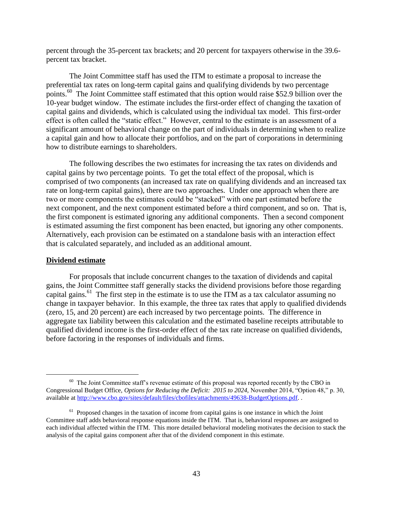percent through the 35-percent tax brackets; and 20 percent for taxpayers otherwise in the 39.6 percent tax bracket.

The Joint Committee staff has used the ITM to estimate a proposal to increase the preferential tax rates on long-term capital gains and qualifying dividends by two percentage points.<sup>60</sup> The Joint Committee staff estimated that this option would raise \$52.9 billion over the 10-year budget window. The estimate includes the first-order effect of changing the taxation of capital gains and dividends, which is calculated using the individual tax model. This first-order effect is often called the "static effect." However, central to the estimate is an assessment of a significant amount of behavioral change on the part of individuals in determining when to realize a capital gain and how to allocate their portfolios, and on the part of corporations in determining how to distribute earnings to shareholders.

The following describes the two estimates for increasing the tax rates on dividends and capital gains by two percentage points. To get the total effect of the proposal, which is comprised of two components (an increased tax rate on qualifying dividends and an increased tax rate on long-term capital gains), there are two approaches. Under one approach when there are two or more components the estimates could be "stacked" with one part estimated before the next component, and the next component estimated before a third component, and so on. That is, the first component is estimated ignoring any additional components. Then a second component is estimated assuming the first component has been enacted, but ignoring any other components. Alternatively, each provision can be estimated on a standalone basis with an interaction effect that is calculated separately, and included as an additional amount.

#### **Dividend estimate**

 $\overline{\phantom{a}}$ 

For proposals that include concurrent changes to the taxation of dividends and capital gains, the Joint Committee staff generally stacks the dividend provisions before those regarding capital gains.<sup>61</sup> The first step in the estimate is to use the ITM as a tax calculator assuming no change in taxpayer behavior. In this example, the three tax rates that apply to qualified dividends (zero, 15, and 20 percent) are each increased by two percentage points. The difference in aggregate tax liability between this calculation and the estimated baseline receipts attributable to qualified dividend income is the first-order effect of the tax rate increase on qualified dividends, before factoring in the responses of individuals and firms.

 $60$  The Joint Committee staff's revenue estimate of this proposal was reported recently by the CBO in Congressional Budget Office, *Options for Reducing the Deficit: 2015 to 2024,* November 2014, "Option 48," p. 30, available at [http://www.cbo.gov/sites/default/files/cbofiles/attachments/49638-BudgetOptions.pdf.](http://www.cbo.gov/sites/default/files/cbofiles/attachments/49638-BudgetOptions.pdf) .

<sup>&</sup>lt;sup>61</sup> Proposed changes in the taxation of income from capital gains is one instance in which the Joint Committee staff adds behavioral response equations inside the ITM. That is, behavioral responses are assigned to each individual affected within the ITM. This more detailed behavioral modeling motivates the decision to stack the analysis of the capital gains component after that of the dividend component in this estimate.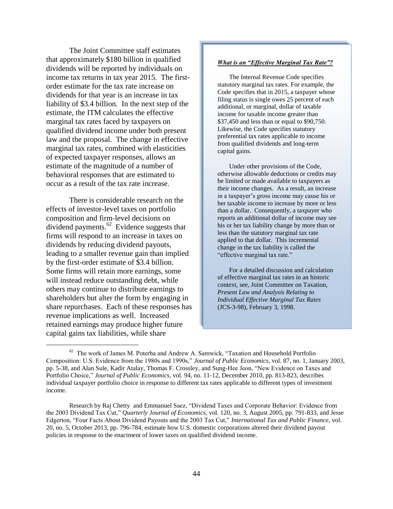The Joint Committee staff estimates that approximately \$180 billion in qualified dividends will be reported by individuals on income tax returns in tax year 2015. The firstorder estimate for the tax rate increase on dividends for that year is an increase in tax liability of \$3.4 billion. In the next step of the estimate, the ITM calculates the effective marginal tax rates faced by taxpayers on qualified dividend income under both present law and the proposal. The change in effective marginal tax rates, combined with elasticities of expected taxpayer responses, allows an estimate of the magnitude of a number of behavioral responses that are estimated to occur as a result of the tax rate increase.

There is considerable research on the effects of investor-level taxes on portfolio composition and firm-level decisions on dividend payments.<sup>62</sup> Evidence suggests that firms will respond to an increase in taxes on dividends by reducing dividend payouts, leading to a smaller revenue gain than implied by the first-order estimate of \$3.4 billion. Some firms will retain more earnings, some will instead reduce outstanding debt, while others may continue to distribute earnings to shareholders but alter the form by engaging in share repurchases. Each of these responses has revenue implications as well. Increased retained earnings may produce higher future capital gains tax liabilities, while share

 $\overline{\phantom{a}}$ 

#### *What is an "Effective Marginal Tax Rate"?*

The Internal Revenue Code specifies statutory marginal tax rates. For example, the Code specifies that in 2015, a taxpayer whose filing status is single owes 25 percent of each additional, or marginal, dollar of taxable income for taxable income greater than \$37,450 and less than or equal to \$90,750. Likewise, the Code specifies statutory preferential tax rates applicable to income from qualified dividends and long-term capital gains.

Under other provisions of the Code, otherwise allowable deductions or credits may be limited or made available to taxpayers as their income changes. As a result, an increase in a taxpayer's gross income may cause his or her taxable income to increase by more or less than a dollar. Consequently, a taxpayer who reports an additional dollar of income may see his or her tax liability change by more than or less than the statutory marginal tax rate applied to that dollar. This incremental change in the tax liability is called the "effective marginal tax rate."

For a detailed discussion and calculation of effective marginal tax rates in an historic context, see, Joint Committee on Taxation, *Present Law and Analysis Relating to Individual Effective Marginal Tax Rates* (JCS-3-98), February 3, 1998.

 $62$  The work of James M. Poterba and Andrew A. Samwick, "Taxation and Household Portfolio Composition: U.S. Evidence from the 1980s and 1990s," *Journal of Public Economics*, vol. 87, no. 1, January 2003, pp. 5-38, and Alan Sule, Kadir Atalay, Thomas F. Crossley, and Sung-Hee Jeon, "New Evidence on Taxes and Portfolio Choice," *Journal of Public Economics*, vol. 94, no. 11-12, December 2010, pp. 813-823, describes individual taxpayer portfolio choice in response to different tax rates applicable to different types of investment income.

Research by Raj Chetty and Emmanuel Saez, "Dividend Taxes and Corporate Behavior: Evidence from the 2003 Dividend Tax Cut," *Quarterly Journal of Economics*, vol. 120, no. 3, August 2005, pp. 791-833, and Jesse Edgerton, "Four Facts About Dividend Payouts and the 2003 Tax Cut," *International Tax and Public Finance*, vol. 20, no. 5, October 2013, pp. 796-784, estimate how U.S. domestic corporations altered their dividend payout policies in response to the enactment of lower taxes on qualified dividend income.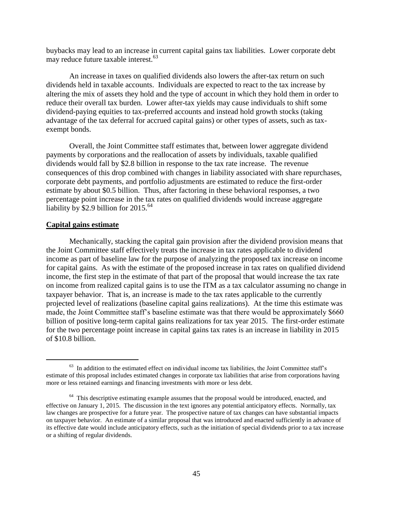buybacks may lead to an increase in current capital gains tax liabilities. Lower corporate debt may reduce future taxable interest. $63$ 

An increase in taxes on qualified dividends also lowers the after-tax return on such dividends held in taxable accounts. Individuals are expected to react to the tax increase by altering the mix of assets they hold and the type of account in which they hold them in order to reduce their overall tax burden. Lower after-tax yields may cause individuals to shift some dividend-paying equities to tax-preferred accounts and instead hold growth stocks (taking advantage of the tax deferral for accrued capital gains) or other types of assets, such as taxexempt bonds.

Overall, the Joint Committee staff estimates that, between lower aggregate dividend payments by corporations and the reallocation of assets by individuals, taxable qualified dividends would fall by \$2.8 billion in response to the tax rate increase. The revenue consequences of this drop combined with changes in liability associated with share repurchases, corporate debt payments, and portfolio adjustments are estimated to reduce the first-order estimate by about \$0.5 billion. Thus, after factoring in these behavioral responses, a two percentage point increase in the tax rates on qualified dividends would increase aggregate liability by \$2.9 billion for  $2015.^{64}$ 

#### **Capital gains estimate**

 $\overline{a}$ 

Mechanically, stacking the capital gain provision after the dividend provision means that the Joint Committee staff effectively treats the increase in tax rates applicable to dividend income as part of baseline law for the purpose of analyzing the proposed tax increase on income for capital gains. As with the estimate of the proposed increase in tax rates on qualified dividend income, the first step in the estimate of that part of the proposal that would increase the tax rate on income from realized capital gains is to use the ITM as a tax calculator assuming no change in taxpayer behavior. That is, an increase is made to the tax rates applicable to the currently projected level of realizations (baseline capital gains realizations). At the time this estimate was made, the Joint Committee staff's baseline estimate was that there would be approximately \$660 billion of positive long-term capital gains realizations for tax year 2015. The first-order estimate for the two percentage point increase in capital gains tax rates is an increase in liability in 2015 of \$10.8 billion.

 $63$  In addition to the estimated effect on individual income tax liabilities, the Joint Committee staff's estimate of this proposal includes estimated changes in corporate tax liabilities that arise from corporations having more or less retained earnings and financing investments with more or less debt.

<sup>&</sup>lt;sup>64</sup> This descriptive estimating example assumes that the proposal would be introduced, enacted, and effective on January 1, 2015. The discussion in the text ignores any potential anticipatory effects. Normally, tax law changes are prospective for a future year. The prospective nature of tax changes can have substantial impacts on taxpayer behavior. An estimate of a similar proposal that was introduced and enacted sufficiently in advance of its effective date would include anticipatory effects, such as the initiation of special dividends prior to a tax increase or a shifting of regular dividends.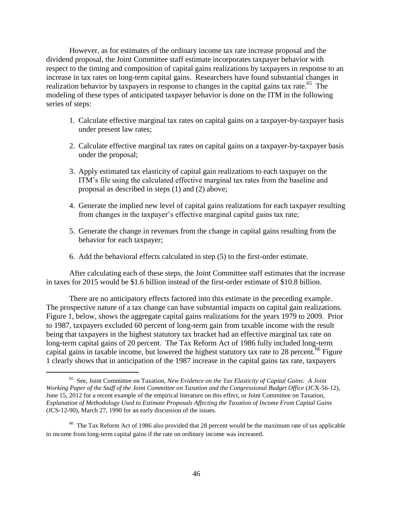However, as for estimates of the ordinary income tax rate increase proposal and the dividend proposal, the Joint Committee staff estimate incorporates taxpayer behavior with respect to the timing and composition of capital gains realizations by taxpayers in response to an increase in tax rates on long-term capital gains. Researchers have found substantial changes in realization behavior by taxpayers in response to changes in the capital gains tax rate.<sup>65</sup> The modeling of these types of anticipated taxpayer behavior is done on the ITM in the following series of steps:

- 1. Calculate effective marginal tax rates on capital gains on a taxpayer-by-taxpayer basis under present law rates;
- 2. Calculate effective marginal tax rates on capital gains on a taxpayer-by-taxpayer basis under the proposal;
- 3. Apply estimated tax elasticity of capital gain realizations to each taxpayer on the ITM's file using the calculated effective marginal tax rates from the baseline and proposal as described in steps (1) and (2) above;
- 4. Generate the implied new level of capital gains realizations for each taxpayer resulting from changes in the taxpayer's effective marginal capital gains tax rate;
- 5. Generate the change in revenues from the change in capital gains resulting from the behavior for each taxpayer;
- 6. Add the behavioral effects calculated in step (5) to the first-order estimate.

After calculating each of these steps, the Joint Committee staff estimates that the increase in taxes for 2015 would be \$1.6 billion instead of the first-order estimate of \$10.8 billion.

There are no anticipatory effects factored into this estimate in the preceding example. The prospective nature of a tax change can have substantial impacts on capital gain realizations. Figure 1, below, shows the aggregate capital gains realizations for the years 1979 to 2009. Prior to 1987, taxpayers excluded 60 percent of long-term gain from taxable income with the result being that taxpayers in the highest statutory tax bracket had an effective marginal tax rate on long-term capital gains of 20 percent. The Tax Reform Act of 1986 fully included long-term capital gains in taxable income, but lowered the highest statutory tax rate to 28 percent.<sup>66</sup> Figure 1 clearly shows that in anticipation of the 1987 increase in the capital gains tax rate, taxpayers

l

<sup>65</sup> See, Joint Committee on Taxation, *New Evidence on the Tax Elasticity of Capital Gains: A Joint Working Paper of the Staff of the Joint Committee on Taxation and the Congressional Budget Office* (JCX-56-12), June 15, 2012 for a recent example of the empirical literature on this effect, or Joint Committee on Taxation, *Explanation of Methodology Used to Estimate Proposals Affecting the Taxation of Income From Capital Gains* (JCS-12-90), March 27, 1990 for an early discussion of the issues.

<sup>&</sup>lt;sup>66</sup> The Tax Reform Act of 1986 also provided that 28 percent would be the maximum rate of tax applicable to income from long-term capital gains if the rate on ordinary income was increased.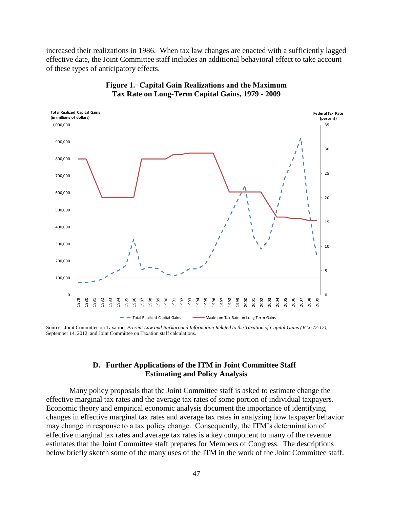increased their realizations in 1986. When tax law changes are enacted with a sufficiently lagged effective date, the Joint Committee staff includes an additional behavioral effect to take account of these types of anticipatory effects.



### **Figure 1.−Capital Gain Realizations and the Maximum Tax Rate on Long-Term Capital Gains, 1979 - 2009**

<span id="page-48-0"></span>Source: Joint Committee on Taxation, *Present Law and Background Information Related to the Taxation of Capital Gains (JCX-72-12)*, September 14, 2012, and Joint Committee on Taxation staff calculations.

## **D. Further Applications of the ITM in Joint Committee Staff Estimating and Policy Analysis**

Many policy proposals that the Joint Committee staff is asked to estimate change the effective marginal tax rates and the average tax rates of some portion of individual taxpayers. Economic theory and empirical economic analysis document the importance of identifying changes in effective marginal tax rates and average tax rates in analyzing how taxpayer behavior may change in response to a tax policy change. Consequently, the ITM's determination of effective marginal tax rates and average tax rates is a key component to many of the revenue estimates that the Joint Committee staff prepares for Members of Congress. The descriptions below briefly sketch some of the many uses of the ITM in the work of the Joint Committee staff.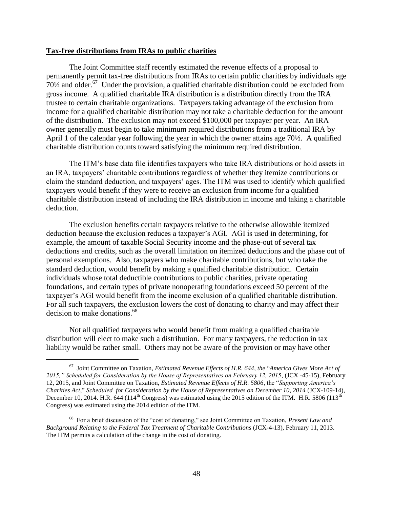### **Tax-free distributions from IRAs to public charities**

 $\overline{a}$ 

The Joint Committee staff recently estimated the revenue effects of a proposal to permanently permit tax-free distributions from IRAs to certain public charities by individuals age  $70\frac{1}{2}$  and older.<sup>67</sup> Under the provision, a qualified charitable distribution could be excluded from gross income. A qualified charitable IRA distribution is a distribution directly from the IRA trustee to certain charitable organizations. Taxpayers taking advantage of the exclusion from income for a qualified charitable distribution may not take a charitable deduction for the amount of the distribution. The exclusion may not exceed \$100,000 per taxpayer per year. An IRA owner generally must begin to take minimum required distributions from a traditional IRA by April 1 of the calendar year following the year in which the owner attains age 70½. A qualified charitable distribution counts toward satisfying the minimum required distribution.

The ITM's base data file identifies taxpayers who take IRA distributions or hold assets in an IRA, taxpayers' charitable contributions regardless of whether they itemize contributions or claim the standard deduction, and taxpayers' ages. The ITM was used to identify which qualified taxpayers would benefit if they were to receive an exclusion from income for a qualified charitable distribution instead of including the IRA distribution in income and taking a charitable deduction.

The exclusion benefits certain taxpayers relative to the otherwise allowable itemized deduction because the exclusion reduces a taxpayer's AGI. AGI is used in determining, for example, the amount of taxable Social Security income and the phase-out of several tax deductions and credits, such as the overall limitation on itemized deductions and the phase out of personal exemptions. Also, taxpayers who make charitable contributions, but who take the standard deduction, would benefit by making a qualified charitable distribution. Certain individuals whose total deductible contributions to public charities, private operating foundations, and certain types of private nonoperating foundations exceed 50 percent of the taxpayer's AGI would benefit from the income exclusion of a qualified charitable distribution. For all such taxpayers, the exclusion lowers the cost of donating to charity and may affect their decision to make donations.<sup>68</sup>

Not all qualified taxpayers who would benefit from making a qualified charitable distribution will elect to make such a distribution. For many taxpayers, the reduction in tax liability would be rather small. Others may not be aware of the provision or may have other

<sup>67</sup> Joint Committee on Taxation, *Estimated Revenue Effects of H.R. 644*, *the* "*America Gives More Act of 2015," Scheduled for Consideration by the House of Representatives on February 12, 2015*, (JCX -45-15), February 12, 2015, and Joint Committee on Taxation, *Estimated Revenue Effects of H.R. 5806*, the "*Supporting America's Charities Act*," *Scheduled for Consideration by the House of Representatives on December 10, 2014* (JCX-109-14), December 10, 2014. H.R. 644 (114<sup>th</sup> Congress) was estimated using the 2015 edition of the ITM. H.R. 5806 (113<sup>th</sup>) Congress) was estimated using the 2014 edition of the ITM.

<sup>68</sup> For a brief discussion of the "cost of donating," see Joint Committee on Taxation, *Present Law and Background Relating to the Federal Tax Treatment of Charitable Contributions* (JCX-4-13), February 11, 2013. The ITM permits a calculation of the change in the cost of donating.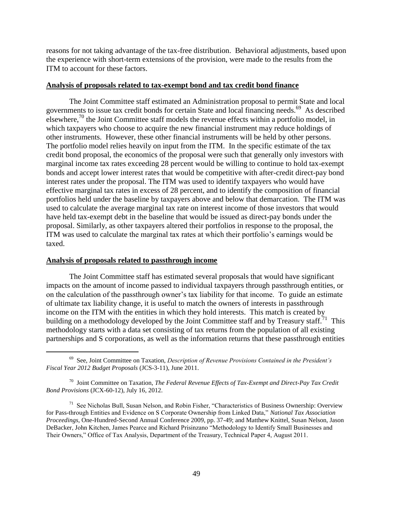reasons for not taking advantage of the tax-free distribution. Behavioral adjustments, based upon the experience with short-term extensions of the provision, were made to the results from the ITM to account for these factors.

### **Analysis of proposals related to tax-exempt bond and tax credit bond finance**

The Joint Committee staff estimated an Administration proposal to permit State and local governments to issue tax credit bonds for certain State and local financing needs.<sup>69</sup> As described elsewhere, $^{70}$  the Joint Committee staff models the revenue effects within a portfolio model, in which taxpayers who choose to acquire the new financial instrument may reduce holdings of other instruments. However, these other financial instruments will be held by other persons. The portfolio model relies heavily on input from the ITM. In the specific estimate of the tax credit bond proposal, the economics of the proposal were such that generally only investors with marginal income tax rates exceeding 28 percent would be willing to continue to hold tax-exempt bonds and accept lower interest rates that would be competitive with after-credit direct-pay bond interest rates under the proposal. The ITM was used to identify taxpayers who would have effective marginal tax rates in excess of 28 percent, and to identify the composition of financial portfolios held under the baseline by taxpayers above and below that demarcation. The ITM was used to calculate the average marginal tax rate on interest income of those investors that would have held tax-exempt debt in the baseline that would be issued as direct-pay bonds under the proposal. Similarly, as other taxpayers altered their portfolios in response to the proposal, the ITM was used to calculate the marginal tax rates at which their portfolio's earnings would be taxed.

### **Analysis of proposals related to passthrough income**

 $\overline{a}$ 

The Joint Committee staff has estimated several proposals that would have significant impacts on the amount of income passed to individual taxpayers through passthrough entities, or on the calculation of the passthrough owner's tax liability for that income. To guide an estimate of ultimate tax liability change, it is useful to match the owners of interests in passthrough income on the ITM with the entities in which they hold interests. This match is created by building on a methodology developed by the Joint Committee staff and by Treasury staff.<sup>71</sup> This methodology starts with a data set consisting of tax returns from the population of all existing partnerships and S corporations, as well as the information returns that these passthrough entities

<sup>69</sup> See, Joint Committee on Taxation, *Description of Revenue Provisions Contained in the President's Fiscal Year 2012 Budget Proposals* (JCS-3-11), June 2011.

<sup>70</sup> Joint Committee on Taxation, *The Federal Revenue Effects of Tax-Exempt and Direct-Pay Tax Credit Bond Provisions* (JCX-60-12), July 16, 2012.

<sup>&</sup>lt;sup>71</sup> See Nicholas Bull, Susan Nelson, and Robin Fisher, "Characteristics of Business Ownership: Overview for Pass-through Entities and Evidence on S Corporate Ownership from Linked Data," *National Tax Association Proceedings*, One-Hundred-Second Annual Conference 2009, pp. 37-49; and Matthew Knittel, Susan Nelson, Jason DeBacker, John Kitchen, James Pearce and Richard Prisinzano "Methodology to Identify Small Businesses and Their Owners," Office of Tax Analysis, Department of the Treasury, Technical Paper 4, August 2011.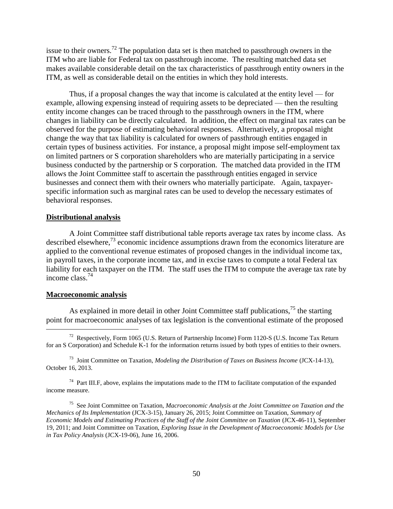issue to their owners.<sup>72</sup> The population data set is then matched to passthrough owners in the ITM who are liable for Federal tax on passthrough income. The resulting matched data set makes available considerable detail on the tax characteristics of passthrough entity owners in the ITM, as well as considerable detail on the entities in which they hold interests.

Thus, if a proposal changes the way that income is calculated at the entity level — for example, allowing expensing instead of requiring assets to be depreciated — then the resulting entity income changes can be traced through to the passthrough owners in the ITM, where changes in liability can be directly calculated. In addition, the effect on marginal tax rates can be observed for the purpose of estimating behavioral responses. Alternatively, a proposal might change the way that tax liability is calculated for owners of passthrough entities engaged in certain types of business activities. For instance, a proposal might impose self-employment tax on limited partners or S corporation shareholders who are materially participating in a service business conducted by the partnership or S corporation. The matched data provided in the ITM allows the Joint Committee staff to ascertain the passthrough entities engaged in service businesses and connect them with their owners who materially participate. Again, taxpayerspecific information such as marginal rates can be used to develop the necessary estimates of behavioral responses.

### **Distributional analysis**

A Joint Committee staff distributional table reports average tax rates by income class. As described elsewhere, $^{73}$  economic incidence assumptions drawn from the economics literature are applied to the conventional revenue estimates of proposed changes in the individual income tax, in payroll taxes, in the corporate income tax, and in excise taxes to compute a total Federal tax liability for each taxpayer on the ITM. The staff uses the ITM to compute the average tax rate by income class.<sup>74</sup>

## **Macroeconomic analysis**

 $\overline{\phantom{a}}$ 

As explained in more detail in other Joint Committee staff publications,  $^{75}$  the starting point for macroeconomic analyses of tax legislation is the conventional estimate of the proposed

<sup>&</sup>lt;sup>72</sup> Respectively, Form 1065 (U.S. Return of Partnership Income) Form 1120-S (U.S. Income Tax Return for an S Corporation) and Schedule K-1 for the information returns issued by both types of entities to their owners.

<sup>73</sup> Joint Committee on Taxation, *Modeling the Distribution of Taxes on Business Income* (JCX-14-13), October 16, 2013.

 $74$  Part III.F, above, explains the imputations made to the ITM to facilitate computation of the expanded income measure.

<sup>75</sup> See Joint Committee on Taxation, *Macroeconomic Analysis at the Joint Committee on Taxation and the Mechanics of Its Implementation* (JCX-3-15), January 26, 2015; Joint Committee on Taxation, *Summary of Economic Models and Estimating Practices of the Staff of the Joint Committee on Taxation* (JCX-46-11), September 19, 2011; and Joint Committee on Taxation, *Exploring Issue in the Development of Macroeconomic Models for Use in Tax Policy Analysis* (JCX-19-06), June 16, 2006.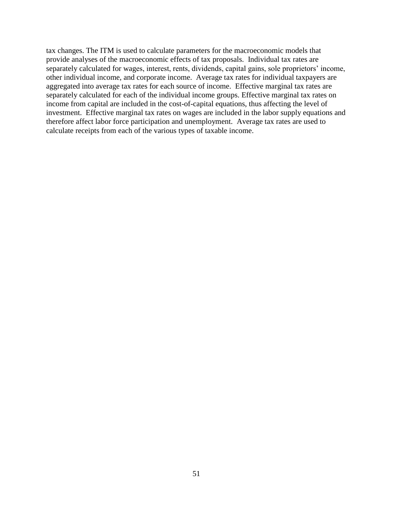tax changes. The ITM is used to calculate parameters for the macroeconomic models that provide analyses of the macroeconomic effects of tax proposals. Individual tax rates are separately calculated for wages, interest, rents, dividends, capital gains, sole proprietors' income, other individual income, and corporate income. Average tax rates for individual taxpayers are aggregated into average tax rates for each source of income. Effective marginal tax rates are separately calculated for each of the individual income groups. Effective marginal tax rates on income from capital are included in the cost-of-capital equations, thus affecting the level of investment. Effective marginal tax rates on wages are included in the labor supply equations and therefore affect labor force participation and unemployment. Average tax rates are used to calculate receipts from each of the various types of taxable income.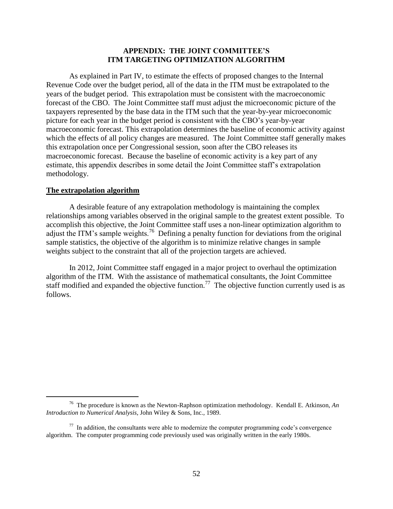### **APPENDIX: THE JOINT COMMITTEE'S ITM TARGETING OPTIMIZATION ALGORITHM**

<span id="page-53-0"></span>As explained in Part IV, to estimate the effects of proposed changes to the Internal Revenue Code over the budget period, all of the data in the ITM must be extrapolated to the years of the budget period. This extrapolation must be consistent with the macroeconomic forecast of the CBO. The Joint Committee staff must adjust the microeconomic picture of the taxpayers represented by the base data in the ITM such that the year-by-year microeconomic picture for each year in the budget period is consistent with the CBO's year-by-year macroeconomic forecast. This extrapolation determines the baseline of economic activity against which the effects of all policy changes are measured. The Joint Committee staff generally makes this extrapolation once per Congressional session, soon after the CBO releases its macroeconomic forecast. Because the baseline of economic activity is a key part of any estimate, this appendix describes in some detail the Joint Committee staff's extrapolation methodology.

#### **The extrapolation algorithm**

 $\overline{\phantom{a}}$ 

A desirable feature of any extrapolation methodology is maintaining the complex relationships among variables observed in the original sample to the greatest extent possible. To accomplish this objective, the Joint Committee staff uses a non-linear optimization algorithm to adjust the ITM's sample weights.<sup>76</sup> Defining a penalty function for deviations from the original sample statistics, the objective of the algorithm is to minimize relative changes in sample weights subject to the constraint that all of the projection targets are achieved.

In 2012, Joint Committee staff engaged in a major project to overhaul the optimization algorithm of the ITM. With the assistance of mathematical consultants, the Joint Committee staff modified and expanded the objective function.<sup>77</sup> The objective function currently used is as follows.

<sup>76</sup> The procedure is known as the Newton-Raphson optimization methodology. Kendall E. Atkinson, *An Introduction to Numerical Analysis*, John Wiley & Sons, Inc., 1989.

 $77$  In addition, the consultants were able to modernize the computer programming code's convergence algorithm. The computer programming code previously used was originally written in the early 1980s.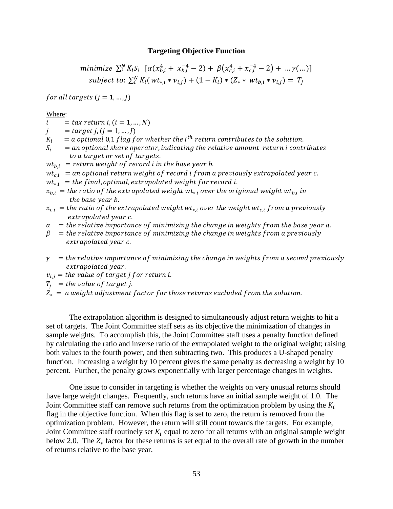### **Targeting Objective Function**

minimize 
$$
\sum_{i}^{N} K_{i} S_{i} \left[ \alpha (x_{b,i}^{4} + x_{b,i}^{-4} - 2) + \beta (x_{c,i}^{4} + x_{c,i}^{-4} - 2) + ... \gamma (...) \right]
$$
  
subject to:  $\sum_{i}^{N} K_{i} (wt_{*,i} * v_{i,j}) + (1 - K_{i}) * (Z_{*} * wt_{b,i} * v_{i,j}) = T_{j}$ 

for all targets  $(j = 1, ..., J)$ 

Where:

- $= tax$  return i,  $(i = 1, ..., N)$  $\mathbf{i}$
- $\dot{I}$  $= target j, (j = 1, ..., J)$
- $K_i$  $^{th}r$
- $S_i$  $=$  an optional share operator, indicating the relative amount return i contributes to a target or set of targets.

 $wt_{b,i}$  = return weight of record i in the base year b.

 $wt_{ci}$  = an optional return weight of record i from a previously extrapolated year c.

 $wt_{*i}$  = the final, optimal, extrapolated weight for record i.

- $x_{b,i}$  = the ratio of the extrapolated weight wt $_{*,i}$  over the origional weight wt $_{b,i}$  i the base year b.
- $x_{c,i}$  = the ratio of the extrapolated weight wt<sub>\*i</sub> over the weight wt<sub>ci</sub> from a previously extrapolated year c.
- $\alpha$  = the relative importance of minimizing the change in weights from the base year a.
- $\beta$  = the relative importance of minimizing the change in weights from a previously extrapolated year c.
- $\gamma$  = the relative importance of minimizing the change in weights from a second previously extrapolated year.
- $v_{i,j}$  = the value of target j for return i.
- $T_i$  = the value of target j.
- $Z_* = a$  weight adjustment factor for those returns excluded from the solution.

The extrapolation algorithm is designed to simultaneously adjust return weights to hit a set of targets. The Joint Committee staff sets as its objective the minimization of changes in sample weights. To accomplish this, the Joint Committee staff uses a penalty function defined by calculating the ratio and inverse ratio of the extrapolated weight to the original weight; raising both values to the fourth power, and then subtracting two. This produces a U-shaped penalty function. Increasing a weight by 10 percent gives the same penalty as decreasing a weight by 10 percent. Further, the penalty grows exponentially with larger percentage changes in weights.

One issue to consider in targeting is whether the weights on very unusual returns should have large weight changes. Frequently, such returns have an initial sample weight of 1.0. The Joint Committee staff can remove such returns from the optimization problem by using the  $K_i$ flag in the objective function. When this flag is set to zero, the return is removed from the optimization problem. However, the return will still count towards the targets. For example, Joint Committee staff routinely set  $K_i$  equal to zero for all returns with an original sample weight below 2.0. The  $Z_*$  factor for these returns is set equal to the overall rate of growth in the number of returns relative to the base year.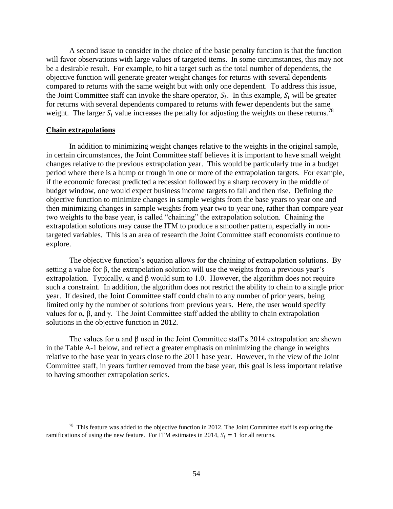A second issue to consider in the choice of the basic penalty function is that the function will favor observations with large values of targeted items. In some circumstances, this may not be a desirable result. For example, to hit a target such as the total number of dependents, the objective function will generate greater weight changes for returns with several dependents compared to returns with the same weight but with only one dependent. To address this issue, the Joint Committee staff can invoke the share operator,  $S_i$ . In this example,  $S_i$  will be greater for returns with several dependents compared to returns with fewer dependents but the same weight. The larger  $S_i$  value increases the penalty for adjusting the weights on these returns.<sup>78</sup>

#### **Chain extrapolations**

l

In addition to minimizing weight changes relative to the weights in the original sample, in certain circumstances, the Joint Committee staff believes it is important to have small weight changes relative to the previous extrapolation year. This would be particularly true in a budget period where there is a hump or trough in one or more of the extrapolation targets. For example, if the economic forecast predicted a recession followed by a sharp recovery in the middle of budget window, one would expect business income targets to fall and then rise. Defining the objective function to minimize changes in sample weights from the base years to year one and then minimizing changes in sample weights from year two to year one, rather than compare year two weights to the base year, is called "chaining" the extrapolation solution. Chaining the extrapolation solutions may cause the ITM to produce a smoother pattern, especially in nontargeted variables. This is an area of research the Joint Committee staff economists continue to explore.

The objective function's equation allows for the chaining of extrapolation solutions. By setting a value for β, the extrapolation solution will use the weights from a previous year's extrapolation. Typically,  $\alpha$  and  $\beta$  would sum to 1.0. However, the algorithm does not require such a constraint. In addition, the algorithm does not restrict the ability to chain to a single prior year. If desired, the Joint Committee staff could chain to any number of prior years, being limited only by the number of solutions from previous years. Here, the user would specify values for  $\alpha$ ,  $\beta$ , and  $\gamma$ . The Joint Committee staff added the ability to chain extrapolation solutions in the objective function in 2012.

The values for  $\alpha$  and  $\beta$  used in the Joint Committee staff's 2014 extrapolation are shown in the Table A-1 below, and reflect a greater emphasis on minimizing the change in weights relative to the base year in years close to the 2011 base year. However, in the view of the Joint Committee staff, in years further removed from the base year, this goal is less important relative to having smoother extrapolation series.

 $78$  This feature was added to the objective function in 2012. The Joint Committee staff is exploring the ramifications of using the new feature. For ITM estimates in 2014,  $S_i = 1$  for all returns.